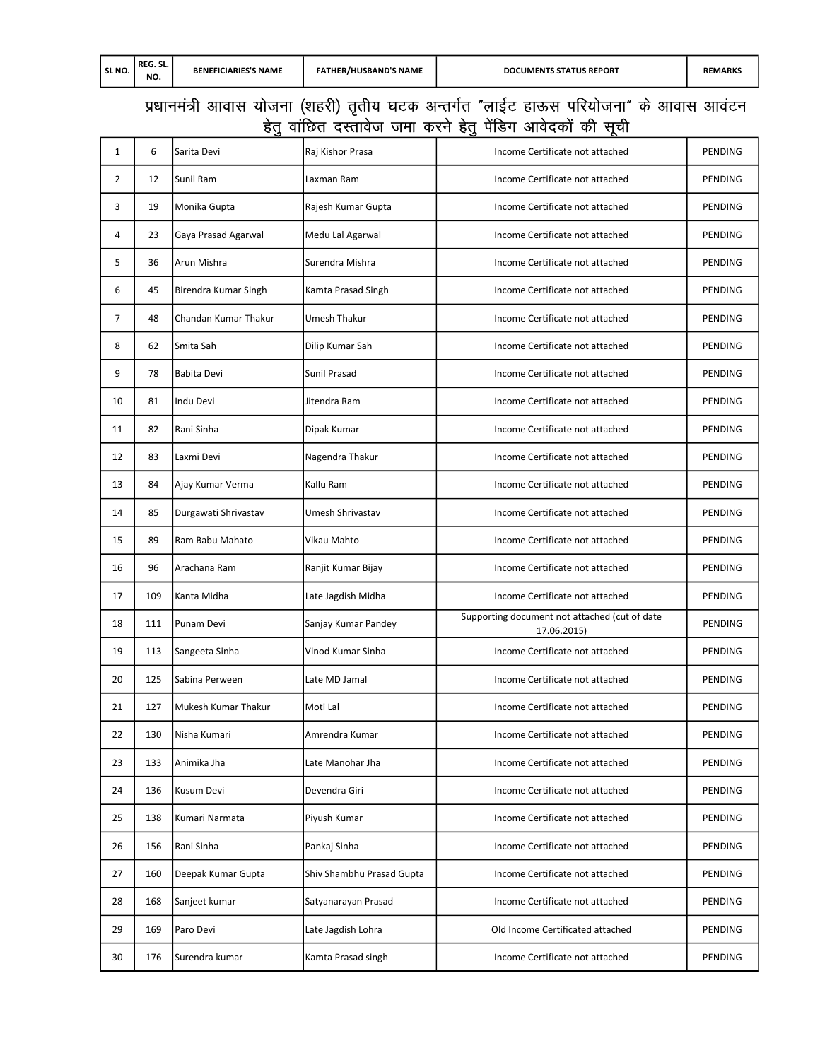## प्रधानमंत्री आवास योजना (शहरी) तृतीय घटक अन्तर्गत "लाईट हाऊस परियोजना" के आवास आवंटन हेतु वांछित दस्तावेज जमा करने हेतु पेंडिंग आवेदकों की सूची

| 1              | 6   | Sarita Devi          | Raj Kishor Prasa          | Income Certificate not attached                              | <b>PENDING</b> |
|----------------|-----|----------------------|---------------------------|--------------------------------------------------------------|----------------|
| 2              | 12  | Sunil Ram            | Laxman Ram                | Income Certificate not attached                              | PENDING        |
| 3              | 19  | Monika Gupta         | Rajesh Kumar Gupta        | Income Certificate not attached                              | <b>PENDING</b> |
| 4              | 23  | Gaya Prasad Agarwal  | Medu Lal Agarwal          | Income Certificate not attached                              | PENDING        |
| 5              | 36  | Arun Mishra          | Surendra Mishra           | Income Certificate not attached                              | PENDING        |
| 6              | 45  | Birendra Kumar Singh | Kamta Prasad Singh        | Income Certificate not attached                              | <b>PENDING</b> |
| $\overline{7}$ | 48  | Chandan Kumar Thakur | Umesh Thakur              | Income Certificate not attached                              | PENDING        |
| 8              | 62  | Smita Sah            | Dilip Kumar Sah           | Income Certificate not attached                              | PENDING        |
| 9              | 78  | Babita Devi          | Sunil Prasad              | Income Certificate not attached                              | PENDING        |
| 10             | 81  | Indu Devi            | Jitendra Ram              | Income Certificate not attached                              | PENDING        |
| 11             | 82  | Rani Sinha           | Dipak Kumar               | Income Certificate not attached                              | PENDING        |
| 12             | 83  | Laxmi Devi           | Nagendra Thakur           | Income Certificate not attached                              | PENDING        |
| 13             | 84  | Ajay Kumar Verma     | Kallu Ram                 | Income Certificate not attached                              | PENDING        |
| 14             | 85  | Durgawati Shrivastav | Umesh Shrivastav          | Income Certificate not attached                              | PENDING        |
| 15             | 89  | Ram Babu Mahato      | Vikau Mahto               | Income Certificate not attached                              | PENDING        |
| 16             | 96  | Arachana Ram         | Ranjit Kumar Bijay        | Income Certificate not attached                              | PENDING        |
| 17             | 109 | Kanta Midha          | Late Jagdish Midha        | Income Certificate not attached                              | PENDING        |
| 18             | 111 | Punam Devi           | Sanjay Kumar Pandey       | Supporting document not attached (cut of date<br>17.06.2015) | PENDING        |
| 19             | 113 | Sangeeta Sinha       | Vinod Kumar Sinha         | Income Certificate not attached                              | PENDING        |
| 20             | 125 | Sabina Perween       | Late MD Jamal             | Income Certificate not attached                              | PENDING        |
| 21             | 127 | Mukesh Kumar Thakur  | Moti Lal                  | Income Certificate not attached                              | PENDING        |
| 22             | 130 | Nisha Kumari         | Amrendra Kumar            | Income Certificate not attached                              | PENDING        |
| 23             | 133 | Animika Jha          | Late Manohar Jha          | Income Certificate not attached                              | PENDING        |
| 24             | 136 | Kusum Devi           | Devendra Giri             | Income Certificate not attached                              | PENDING        |
| 25             | 138 | Kumari Narmata       | Piyush Kumar              | Income Certificate not attached                              | PENDING        |
| 26             | 156 | Rani Sinha           | Pankaj Sinha              | Income Certificate not attached                              | <b>PENDING</b> |
| 27             | 160 | Deepak Kumar Gupta   | Shiv Shambhu Prasad Gupta | Income Certificate not attached                              | PENDING        |
| 28             | 168 | Sanjeet kumar        | Satyanarayan Prasad       | Income Certificate not attached                              | PENDING        |
| 29             | 169 | Paro Devi            | Late Jagdish Lohra        | Old Income Certificated attached                             | PENDING        |
| 30             | 176 | Surendra kumar       | Kamta Prasad singh        | Income Certificate not attached                              | PENDING        |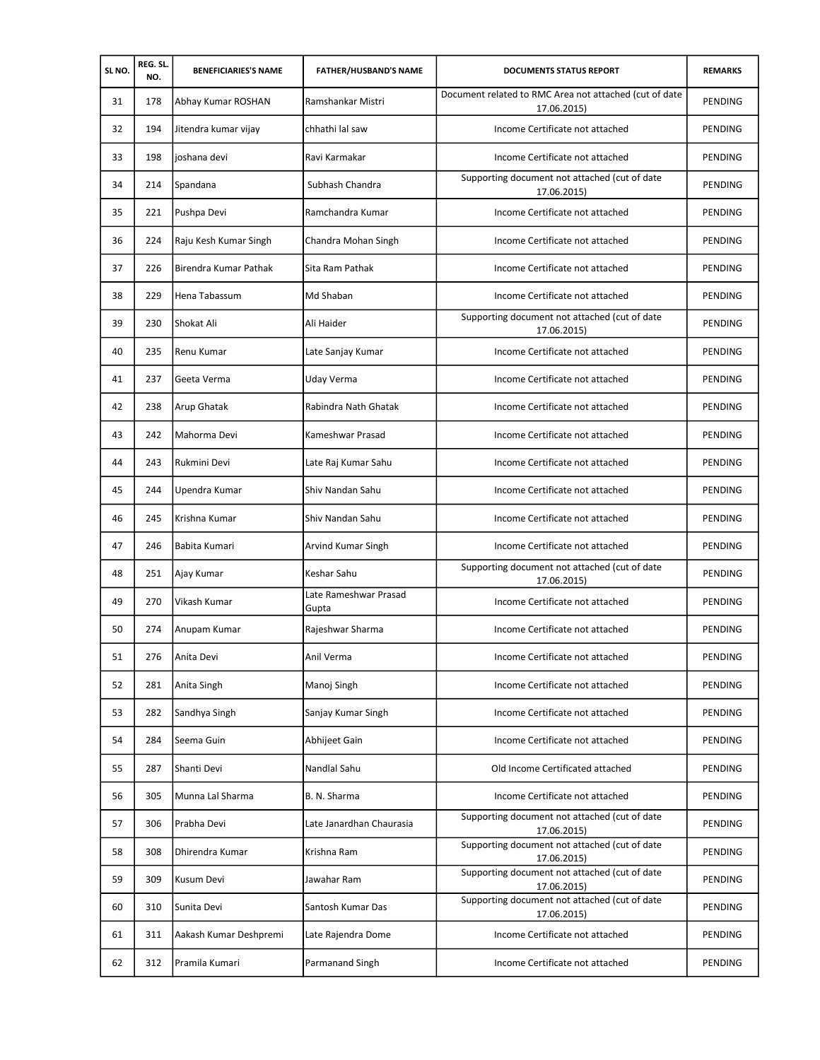| SLNO. | REG. SL.<br>NO. | <b>BENEFICIARIES'S NAME</b> | <b>FATHER/HUSBAND'S NAME</b>   | <b>DOCUMENTS STATUS REPORT</b>                                        | <b>REMARKS</b> |
|-------|-----------------|-----------------------------|--------------------------------|-----------------------------------------------------------------------|----------------|
| 31    | 178             | Abhay Kumar ROSHAN          | Ramshankar Mistri              | Document related to RMC Area not attached (cut of date<br>17.06.2015) | PENDING        |
| 32    | 194             | Jitendra kumar vijay        | chhathi lal saw                | Income Certificate not attached                                       | PENDING        |
| 33    | 198             | joshana devi                | Ravi Karmakar                  | Income Certificate not attached                                       | PENDING        |
| 34    | 214             | Spandana                    | Subhash Chandra                | Supporting document not attached (cut of date<br>17.06.2015)          | PENDING        |
| 35    | 221             | Pushpa Devi                 | Ramchandra Kumar               | Income Certificate not attached                                       | PENDING        |
| 36    | 224             | Raju Kesh Kumar Singh       | Chandra Mohan Singh            | Income Certificate not attached                                       | PENDING        |
| 37    | 226             | Birendra Kumar Pathak       | Sita Ram Pathak                | Income Certificate not attached                                       | PENDING        |
| 38    | 229             | Hena Tabassum               | Md Shaban                      | Income Certificate not attached                                       | PENDING        |
| 39    | 230             | Shokat Ali                  | Ali Haider                     | Supporting document not attached (cut of date<br>17.06.2015)          | PENDING        |
| 40    | 235             | Renu Kumar                  | Late Sanjay Kumar              | Income Certificate not attached                                       | PENDING        |
| 41    | 237             | Geeta Verma                 | Uday Verma                     | Income Certificate not attached                                       | <b>PENDING</b> |
| 42    | 238             | Arup Ghatak                 | Rabindra Nath Ghatak           | Income Certificate not attached                                       | PENDING        |
| 43    | 242             | Mahorma Devi                | Kameshwar Prasad               | Income Certificate not attached                                       | PENDING        |
| 44    | 243             | Rukmini Devi                | Late Raj Kumar Sahu            | Income Certificate not attached                                       | PENDING        |
| 45    | 244             | Upendra Kumar               | Shiv Nandan Sahu               | Income Certificate not attached                                       | PENDING        |
| 46    | 245             | Krishna Kumar               | Shiv Nandan Sahu               | Income Certificate not attached                                       | PENDING        |
| 47    | 246             | Babita Kumari               | Arvind Kumar Singh             | Income Certificate not attached                                       | PENDING        |
| 48    | 251             | Ajay Kumar                  | Keshar Sahu                    | Supporting document not attached (cut of date<br>17.06.2015)          | <b>PENDING</b> |
| 49    | 270             | Vikash Kumar                | Late Rameshwar Prasad<br>Gupta | Income Certificate not attached                                       | <b>PENDING</b> |
| 50    | 274             | Anupam Kumar                | Rajeshwar Sharma               | Income Certificate not attached                                       | PENDING        |
| 51    | 276             | Anita Devi                  | Anil Verma                     | Income Certificate not attached                                       | PENDING        |
| 52    | 281             | Anita Singh                 | Manoj Singh                    | Income Certificate not attached                                       | PENDING        |
| 53    | 282             | Sandhya Singh               | Sanjay Kumar Singh             | Income Certificate not attached                                       | PENDING        |
| 54    | 284             | Seema Guin                  | Abhijeet Gain                  | Income Certificate not attached                                       | PENDING        |
| 55    | 287             | Shanti Devi                 | Nandlal Sahu                   | Old Income Certificated attached                                      | PENDING        |
| 56    | 305             | Munna Lal Sharma            | B. N. Sharma                   | Income Certificate not attached                                       | PENDING        |
| 57    | 306             | Prabha Devi                 | Late Janardhan Chaurasia       | Supporting document not attached (cut of date<br>17.06.2015)          | PENDING        |
| 58    | 308             | Dhirendra Kumar             | Krishna Ram                    | Supporting document not attached (cut of date<br>17.06.2015)          | PENDING        |
| 59    | 309             | Kusum Devi                  | Jawahar Ram                    | Supporting document not attached (cut of date<br>17.06.2015)          | PENDING        |
| 60    | 310             | Sunita Devi                 | Santosh Kumar Das              | Supporting document not attached (cut of date<br>17.06.2015)          | PENDING        |
| 61    | 311             | Aakash Kumar Deshpremi      | Late Rajendra Dome             | Income Certificate not attached                                       | PENDING        |
| 62    | 312             | Pramila Kumari              | Parmanand Singh                | Income Certificate not attached                                       | PENDING        |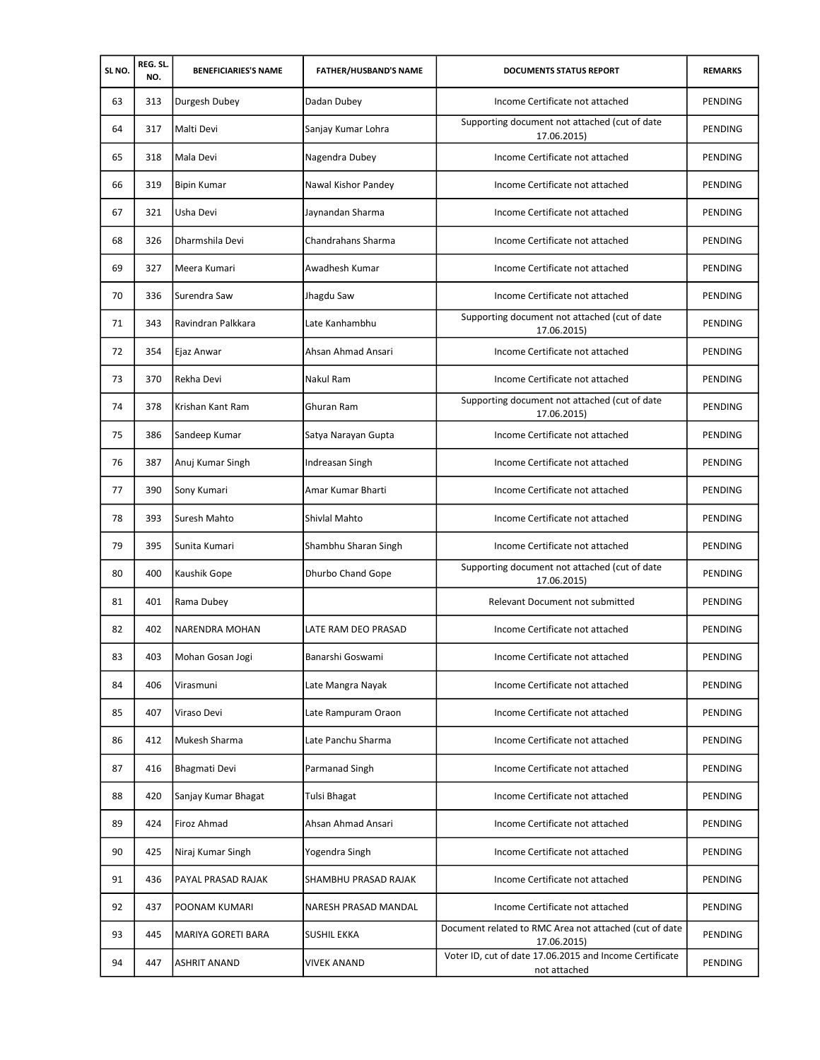| SLNO. | REG. SL.<br>NO. | <b>BENEFICIARIES'S NAME</b> | <b>FATHER/HUSBAND'S NAME</b> | <b>DOCUMENTS STATUS REPORT</b>                                          | <b>REMARKS</b> |
|-------|-----------------|-----------------------------|------------------------------|-------------------------------------------------------------------------|----------------|
| 63    | 313             | Durgesh Dubey               | Dadan Dubey                  | Income Certificate not attached                                         | PENDING        |
| 64    | 317             | Malti Devi                  | Sanjay Kumar Lohra           | Supporting document not attached (cut of date<br>17.06.2015)            | PENDING        |
| 65    | 318             | Mala Devi                   | Nagendra Dubey               | Income Certificate not attached                                         | PENDING        |
| 66    | 319             | <b>Bipin Kumar</b>          | Nawal Kishor Pandey          | Income Certificate not attached                                         | PENDING        |
| 67    | 321             | Usha Devi                   | Jaynandan Sharma             | Income Certificate not attached                                         | PENDING        |
| 68    | 326             | Dharmshila Devi             | Chandrahans Sharma           | Income Certificate not attached                                         | PENDING        |
| 69    | 327             | Meera Kumari                | Awadhesh Kumar               | Income Certificate not attached                                         | PENDING        |
| 70    | 336             | Surendra Saw                | Jhagdu Saw                   | Income Certificate not attached                                         | PENDING        |
| 71    | 343             | Ravindran Palkkara          | Late Kanhambhu               | Supporting document not attached (cut of date<br>17.06.2015)            | <b>PENDING</b> |
| 72    | 354             | Ejaz Anwar                  | Ahsan Ahmad Ansari           | Income Certificate not attached                                         | PENDING        |
| 73    | 370             | Rekha Devi                  | Nakul Ram                    | Income Certificate not attached                                         | PENDING        |
| 74    | 378             | Krishan Kant Ram            | Ghuran Ram                   | Supporting document not attached (cut of date<br>17.06.2015)            | PENDING        |
| 75    | 386             | Sandeep Kumar               | Satya Narayan Gupta          | Income Certificate not attached                                         | PENDING        |
| 76    | 387             | Anuj Kumar Singh            | Indreasan Singh              | Income Certificate not attached                                         | PENDING        |
| 77    | 390             | Sony Kumari                 | Amar Kumar Bharti            | Income Certificate not attached                                         | PENDING        |
| 78    | 393             | Suresh Mahto                | Shivlal Mahto                | Income Certificate not attached                                         | PENDING        |
| 79    | 395             | Sunita Kumari               | Shambhu Sharan Singh         | Income Certificate not attached                                         | PENDING        |
| 80    | 400             | Kaushik Gope                | Dhurbo Chand Gope            | Supporting document not attached (cut of date<br>17.06.2015)            | PENDING        |
| 81    | 401             | Rama Dubey                  |                              | Relevant Document not submitted                                         | PENDING        |
| 82    | 402             | NARENDRA MOHAN              | LATE RAM DEO PRASAD          | Income Certificate not attached                                         | PENDING        |
| 83    | 403             | Mohan Gosan Jogi            | Banarshi Goswami             | Income Certificate not attached                                         | PENDING        |
| 84    | 406             | Virasmuni                   | Late Mangra Nayak            | Income Certificate not attached                                         | PENDING        |
| 85    | 407             | Viraso Devi                 | Late Rampuram Oraon          | Income Certificate not attached                                         | PENDING        |
| 86    | 412             | Mukesh Sharma               | Late Panchu Sharma           | Income Certificate not attached                                         | PENDING        |
| 87    | 416             | Bhagmati Devi               | Parmanad Singh               | Income Certificate not attached                                         | PENDING        |
| 88    | 420             | Sanjay Kumar Bhagat         | Tulsi Bhagat                 | Income Certificate not attached                                         | PENDING        |
| 89    | 424             | Firoz Ahmad                 | Ahsan Ahmad Ansari           | Income Certificate not attached                                         | PENDING        |
| 90    | 425             | Niraj Kumar Singh           | Yogendra Singh               | Income Certificate not attached                                         | PENDING        |
| 91    | 436             | PAYAL PRASAD RAJAK          | SHAMBHU PRASAD RAJAK         | Income Certificate not attached                                         | PENDING        |
| 92    | 437             | POONAM KUMARI               | NARESH PRASAD MANDAL         | Income Certificate not attached                                         | PENDING        |
| 93    | 445             | MARIYA GORETI BARA          | SUSHIL EKKA                  | Document related to RMC Area not attached (cut of date<br>17.06.2015)   | PENDING        |
| 94    | 447             | ASHRIT ANAND                | VIVEK ANAND                  | Voter ID, cut of date 17.06.2015 and Income Certificate<br>not attached | PENDING        |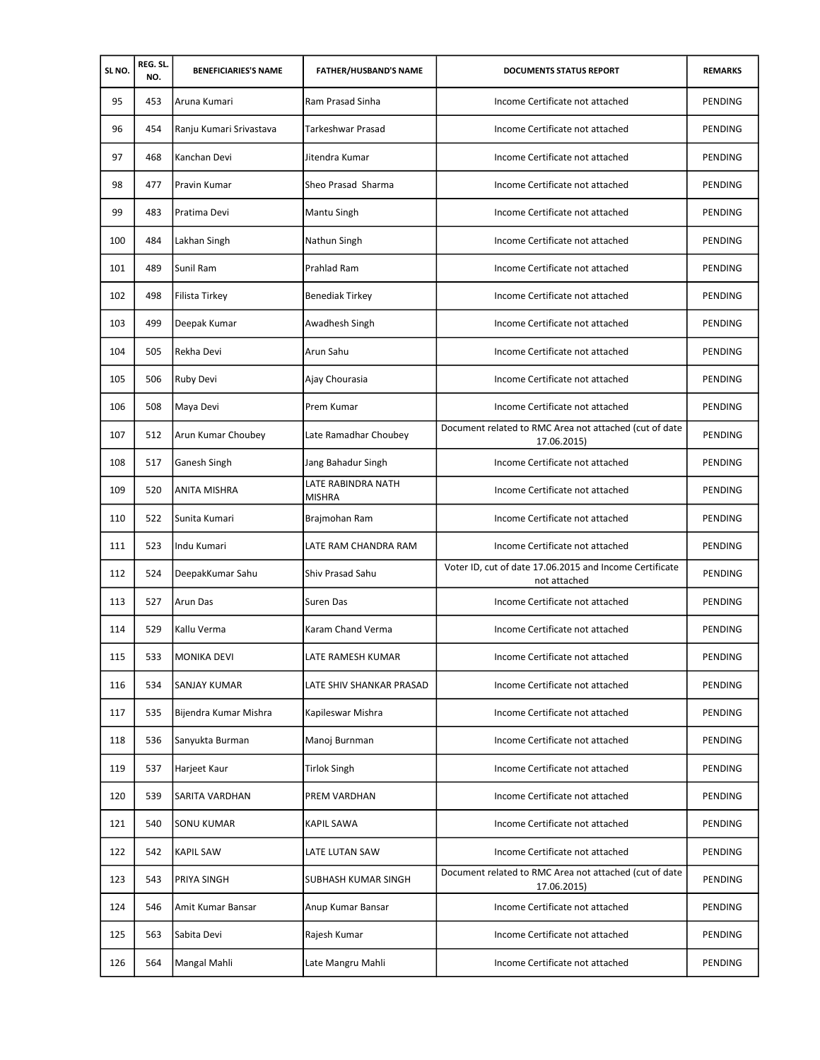| SLNO. | REG. SL.<br>NO. | <b>BENEFICIARIES'S NAME</b> | <b>FATHER/HUSBAND'S NAME</b>        | <b>DOCUMENTS STATUS REPORT</b>                                          | <b>REMARKS</b> |
|-------|-----------------|-----------------------------|-------------------------------------|-------------------------------------------------------------------------|----------------|
| 95    | 453             | Aruna Kumari                | Ram Prasad Sinha                    | Income Certificate not attached                                         | PENDING        |
| 96    | 454             | Ranju Kumari Srivastava     | Tarkeshwar Prasad                   | Income Certificate not attached                                         | PENDING        |
| 97    | 468             | Kanchan Devi                | Jitendra Kumar                      | Income Certificate not attached                                         | PENDING        |
| 98    | 477             | Pravin Kumar                | Sheo Prasad Sharma                  | Income Certificate not attached                                         | PENDING        |
| 99    | 483             | Pratima Devi                | Mantu Singh                         | Income Certificate not attached                                         | PENDING        |
| 100   | 484             | Lakhan Singh                | Nathun Singh                        | Income Certificate not attached                                         | PENDING        |
| 101   | 489             | Sunil Ram                   | Prahlad Ram                         | Income Certificate not attached                                         | PENDING        |
| 102   | 498             | Filista Tirkey              | <b>Benediak Tirkey</b>              | Income Certificate not attached                                         | PENDING        |
| 103   | 499             | Deepak Kumar                | Awadhesh Singh                      | Income Certificate not attached                                         | PENDING        |
| 104   | 505             | Rekha Devi                  | Arun Sahu                           | Income Certificate not attached                                         | PENDING        |
| 105   | 506             | Ruby Devi                   | Ajay Chourasia                      | Income Certificate not attached                                         | PENDING        |
| 106   | 508             | Maya Devi                   | Prem Kumar                          | Income Certificate not attached                                         | PENDING        |
| 107   | 512             | Arun Kumar Choubey          | Late Ramadhar Choubey               | Document related to RMC Area not attached (cut of date<br>17.06.2015)   | PENDING        |
| 108   | 517             | Ganesh Singh                | Jang Bahadur Singh                  | Income Certificate not attached                                         | PENDING        |
| 109   | 520             | ANITA MISHRA                | LATE RABINDRA NATH<br><b>MISHRA</b> | Income Certificate not attached                                         | PENDING        |
| 110   | 522             | Sunita Kumari               | Brajmohan Ram                       | Income Certificate not attached                                         | PENDING        |
| 111   | 523             | Indu Kumari                 | LATE RAM CHANDRA RAM                | Income Certificate not attached                                         | PENDING        |
| 112   | 524             | DeepakKumar Sahu            | Shiv Prasad Sahu                    | Voter ID, cut of date 17.06.2015 and Income Certificate<br>not attached | PENDING        |
| 113   | 527             | Arun Das                    | Suren Das                           | Income Certificate not attached                                         | PENDING        |
| 114   | 529             | Kallu Verma                 | Karam Chand Verma                   | Income Certificate not attached                                         | PENDING        |
| 115   | 533             | <b>MONIKA DEVI</b>          | LATE RAMESH KUMAR                   | Income Certificate not attached                                         | PENDING        |
| 116   | 534             | <b>SANJAY KUMAR</b>         | LATE SHIV SHANKAR PRASAD            | Income Certificate not attached                                         | PENDING        |
| 117   | 535             | Bijendra Kumar Mishra       | Kapileswar Mishra                   | Income Certificate not attached                                         | PENDING        |
| 118   | 536             | Sanyukta Burman             | Manoj Burnman                       | Income Certificate not attached                                         | PENDING        |
| 119   | 537             | Harjeet Kaur                | <b>Tirlok Singh</b>                 | Income Certificate not attached                                         | PENDING        |
| 120   | 539             | SARITA VARDHAN              | PREM VARDHAN                        | Income Certificate not attached                                         | PENDING        |
| 121   | 540             | <b>SONU KUMAR</b>           | <b>KAPIL SAWA</b>                   | Income Certificate not attached                                         | PENDING        |
| 122   | 542             | <b>KAPIL SAW</b>            | LATE LUTAN SAW                      | Income Certificate not attached                                         | PENDING        |
| 123   | 543             | PRIYA SINGH                 | SUBHASH KUMAR SINGH                 | Document related to RMC Area not attached (cut of date<br>17.06.2015)   | PENDING        |
| 124   | 546             | Amit Kumar Bansar           | Anup Kumar Bansar                   | Income Certificate not attached                                         | PENDING        |
| 125   | 563             | Sabita Devi                 | Rajesh Kumar                        | Income Certificate not attached                                         | PENDING        |
| 126   | 564             | Mangal Mahli                | Late Mangru Mahli                   | Income Certificate not attached                                         | PENDING        |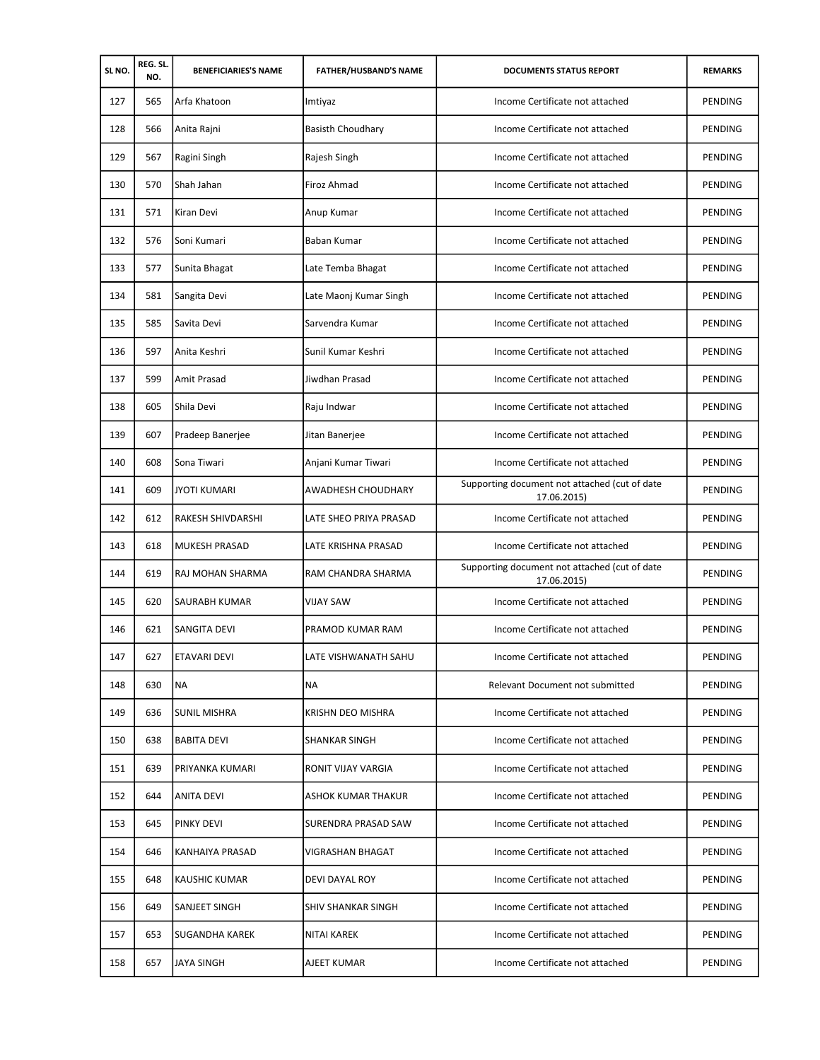| SLNO. | REG. SL.<br>NO. | <b>BENEFICIARIES'S NAME</b> | <b>FATHER/HUSBAND'S NAME</b> | <b>DOCUMENTS STATUS REPORT</b>                               | <b>REMARKS</b> |
|-------|-----------------|-----------------------------|------------------------------|--------------------------------------------------------------|----------------|
| 127   | 565             | Arfa Khatoon                | Imtiyaz                      | Income Certificate not attached                              | PENDING        |
| 128   | 566             | Anita Rajni                 | <b>Basisth Choudhary</b>     | Income Certificate not attached                              | PENDING        |
| 129   | 567             | Ragini Singh                | Rajesh Singh                 | Income Certificate not attached                              | PENDING        |
| 130   | 570             | Shah Jahan                  | Firoz Ahmad                  | Income Certificate not attached                              | PENDING        |
| 131   | 571             | Kiran Devi                  | Anup Kumar                   | Income Certificate not attached                              | PENDING        |
| 132   | 576             | Soni Kumari                 | Baban Kumar                  | Income Certificate not attached                              | PENDING        |
| 133   | 577             | Sunita Bhagat               | Late Temba Bhagat            | Income Certificate not attached                              | PENDING        |
| 134   | 581             | Sangita Devi                | Late Maonj Kumar Singh       | Income Certificate not attached                              | PENDING        |
| 135   | 585             | Savita Devi                 | Sarvendra Kumar              | Income Certificate not attached                              | PENDING        |
| 136   | 597             | Anita Keshri                | Sunil Kumar Keshri           | Income Certificate not attached                              | PENDING        |
| 137   | 599             | Amit Prasad                 | Jiwdhan Prasad               | Income Certificate not attached                              | PENDING        |
| 138   | 605             | Shila Devi                  | Raju Indwar                  | Income Certificate not attached                              | PENDING        |
| 139   | 607             | Pradeep Banerjee            | Jitan Banerjee               | Income Certificate not attached                              | PENDING        |
| 140   | 608             | Sona Tiwari                 | Anjani Kumar Tiwari          | Income Certificate not attached                              | PENDING        |
| 141   | 609             | <b>JYOTI KUMARI</b>         | AWADHESH CHOUDHARY           | Supporting document not attached (cut of date<br>17.06.2015) | PENDING        |
| 142   | 612             | RAKESH SHIVDARSHI           | LATE SHEO PRIYA PRASAD       | Income Certificate not attached                              | PENDING        |
| 143   | 618             | <b>MUKESH PRASAD</b>        | LATE KRISHNA PRASAD          | Income Certificate not attached                              | PENDING        |
| 144   | 619             | RAJ MOHAN SHARMA            | RAM CHANDRA SHARMA           | Supporting document not attached (cut of date<br>17.06.2015) | PENDING        |
| 145   | 620             | SAURABH KUMAR               | <b>VIJAY SAW</b>             | Income Certificate not attached                              | PENDING        |
| 146   | 621             | <b>SANGITA DEVI</b>         | PRAMOD KUMAR RAM             | Income Certificate not attached                              | PENDING        |
| 147   | 627             | <b>ETAVARI DEVI</b>         | LATE VISHWANATH SAHU         | Income Certificate not attached                              | PENDING        |
| 148   | 630             | <b>NA</b>                   | NA                           | Relevant Document not submitted                              | PENDING        |
| 149   | 636             | SUNIL MISHRA                | KRISHN DEO MISHRA            | Income Certificate not attached                              | PENDING        |
| 150   | 638             | <b>BABITA DEVI</b>          | <b>SHANKAR SINGH</b>         | Income Certificate not attached                              | PENDING        |
| 151   | 639             | PRIYANKA KUMARI             | RONIT VIJAY VARGIA           | Income Certificate not attached                              | PENDING        |
| 152   | 644             | <b>ANITA DEVI</b>           | ASHOK KUMAR THAKUR           | Income Certificate not attached                              | PENDING        |
| 153   | 645             | <b>PINKY DEVI</b>           | SURENDRA PRASAD SAW          | Income Certificate not attached                              | PENDING        |
| 154   | 646             | KANHAIYA PRASAD             | VIGRASHAN BHAGAT             | Income Certificate not attached                              | PENDING        |
| 155   | 648             | <b>KAUSHIC KUMAR</b>        | DEVI DAYAL ROY               | Income Certificate not attached                              | PENDING        |
| 156   | 649             | SANJEET SINGH               | SHIV SHANKAR SINGH           | Income Certificate not attached                              | PENDING        |
| 157   | 653             | <b>SUGANDHA KAREK</b>       | NITAI KAREK                  | Income Certificate not attached                              | PENDING        |
| 158   | 657             | <b>JAYA SINGH</b>           | AJEET KUMAR                  | Income Certificate not attached                              | PENDING        |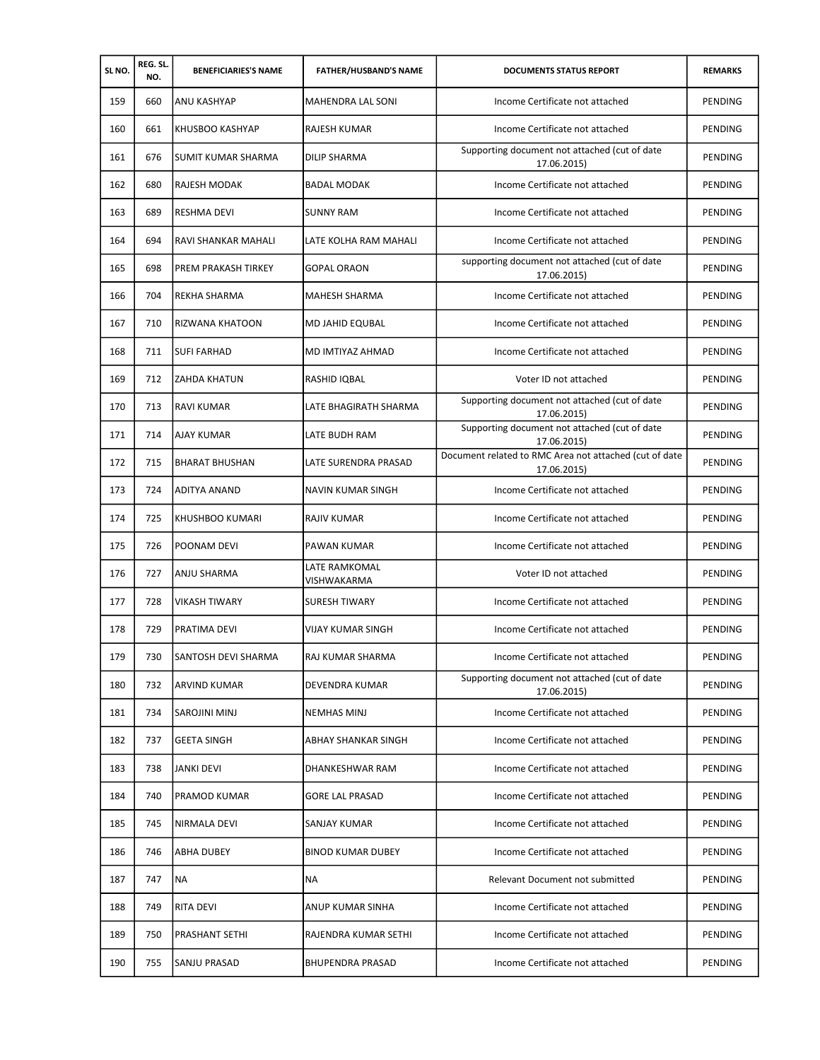| SLNO. | REG. SL.<br>NO. | <b>BENEFICIARIES'S NAME</b> | <b>FATHER/HUSBAND'S NAME</b> | <b>DOCUMENTS STATUS REPORT</b>                                        | <b>REMARKS</b> |
|-------|-----------------|-----------------------------|------------------------------|-----------------------------------------------------------------------|----------------|
| 159   | 660             | ANU KASHYAP                 | <b>MAHENDRA LAL SONI</b>     | Income Certificate not attached                                       | PENDING        |
| 160   | 661             | KHUSBOO KASHYAP             | RAJESH KUMAR                 | Income Certificate not attached                                       | PENDING        |
| 161   | 676             | <b>SUMIT KUMAR SHARMA</b>   | <b>DILIP SHARMA</b>          | Supporting document not attached (cut of date<br>17.06.2015)          | PENDING        |
| 162   | 680             | RAJESH MODAK                | BADAL MODAK                  | Income Certificate not attached                                       | PENDING        |
| 163   | 689             | <b>RESHMA DEVI</b>          | <b>SUNNY RAM</b>             | Income Certificate not attached                                       | PENDING        |
| 164   | 694             | RAVI SHANKAR MAHALI         | LATE KOLHA RAM MAHALI        | Income Certificate not attached                                       | <b>PENDING</b> |
| 165   | 698             | PREM PRAKASH TIRKEY         | <b>GOPAL ORAON</b>           | supporting document not attached (cut of date<br>17.06.2015)          | PENDING        |
| 166   | 704             | REKHA SHARMA                | MAHESH SHARMA                | Income Certificate not attached                                       | PENDING        |
| 167   | 710             | RIZWANA KHATOON             | MD JAHID EQUBAL              | Income Certificate not attached                                       | PENDING        |
| 168   | 711             | <b>SUFI FARHAD</b>          | MD IMTIYAZ AHMAD             | Income Certificate not attached                                       | PENDING        |
| 169   | 712             | <b>ZAHDA KHATUN</b>         | RASHID IQBAL                 | Voter ID not attached                                                 | PENDING        |
| 170   | 713             | <b>RAVI KUMAR</b>           | LATE BHAGIRATH SHARMA        | Supporting document not attached (cut of date<br>17.06.2015)          | PENDING        |
| 171   | 714             | AJAY KUMAR                  | LATE BUDH RAM                | Supporting document not attached (cut of date<br>17.06.2015)          | <b>PENDING</b> |
| 172   | 715             | <b>BHARAT BHUSHAN</b>       | LATE SURENDRA PRASAD         | Document related to RMC Area not attached (cut of date<br>17.06.2015) | PENDING        |
| 173   | 724             | <b>ADITYA ANAND</b>         | NAVIN KUMAR SINGH            | Income Certificate not attached                                       | PENDING        |
| 174   | 725             | KHUSHBOO KUMARI             | RAJIV KUMAR                  | Income Certificate not attached                                       | PENDING        |
| 175   | 726             | POONAM DEVI                 | PAWAN KUMAR                  | Income Certificate not attached                                       | PENDING        |
| 176   | 727             | ANJU SHARMA                 | LATE RAMKOMAL<br>VISHWAKARMA | Voter ID not attached                                                 | PENDING        |
| 177   | 728             | <b>VIKASH TIWARY</b>        | <b>SURESH TIWARY</b>         | Income Certificate not attached                                       | PENDING        |
| 178   | 729             | PRATIMA DEVI                | <b>VIJAY KUMAR SINGH</b>     | Income Certificate not attached                                       | PENDING        |
| 179   | 730             | SANTOSH DEVI SHARMA         | RAJ KUMAR SHARMA             | Income Certificate not attached                                       | PENDING        |
| 180   | 732             | <b>ARVIND KUMAR</b>         | DEVENDRA KUMAR               | Supporting document not attached (cut of date<br>17.06.2015)          | PENDING        |
| 181   | 734             | <b>SAROJINI MINJ</b>        | <b>NEMHAS MINJ</b>           | Income Certificate not attached                                       | PENDING        |
| 182   | 737             | <b>GEETA SINGH</b>          | ABHAY SHANKAR SINGH          | Income Certificate not attached                                       | PENDING        |
| 183   | 738             | <b>JANKI DEVI</b>           | <b>DHANKESHWAR RAM</b>       | Income Certificate not attached                                       | PENDING        |
| 184   | 740             | PRAMOD KUMAR                | <b>GORE LAL PRASAD</b>       | Income Certificate not attached                                       | PENDING        |
| 185   | 745             | NIRMALA DEVI                | SANJAY KUMAR                 | Income Certificate not attached                                       | PENDING        |
| 186   | 746             | <b>ABHA DUBEY</b>           | <b>BINOD KUMAR DUBEY</b>     | Income Certificate not attached                                       | PENDING        |
| 187   | 747             | <b>NA</b>                   | ΝA                           | Relevant Document not submitted                                       | PENDING        |
| 188   | 749             | RITA DEVI                   | ANUP KUMAR SINHA             | Income Certificate not attached                                       | PENDING        |
| 189   | 750             | PRASHANT SETHI              | RAJENDRA KUMAR SETHI         | Income Certificate not attached                                       | PENDING        |
| 190   | 755             | SANJU PRASAD                | <b>BHUPENDRA PRASAD</b>      | Income Certificate not attached                                       | PENDING        |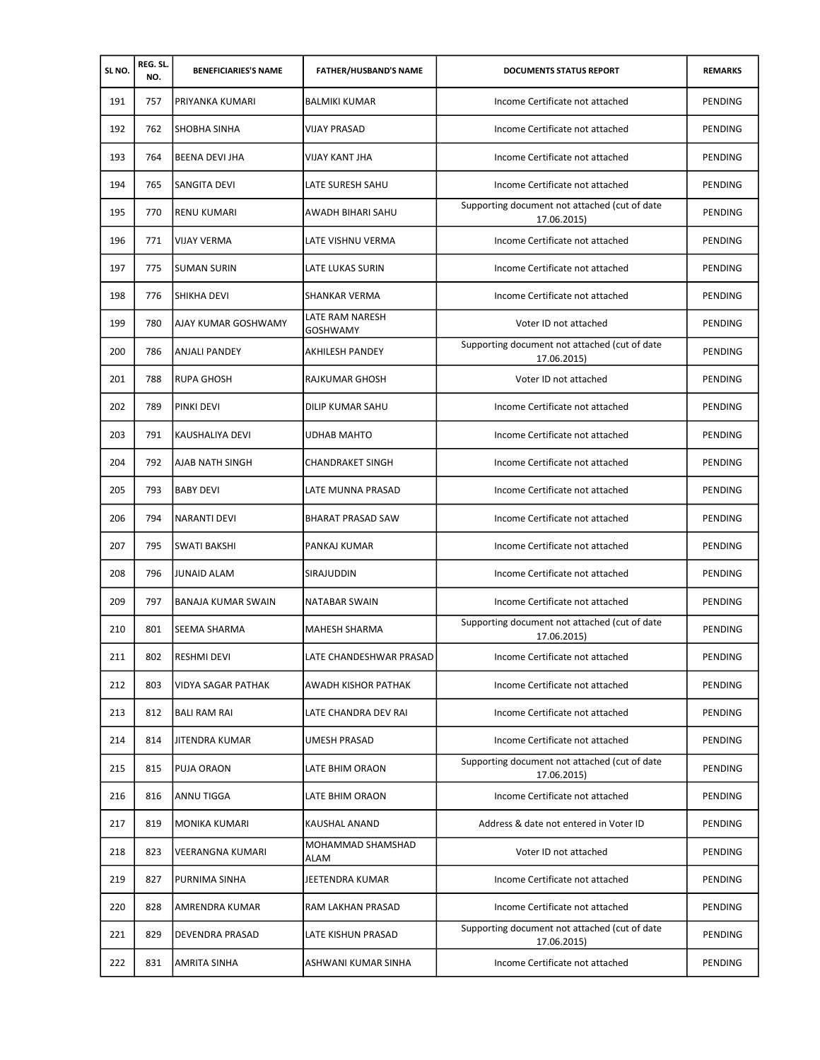| SLNO. | REG. SL.<br>NO. | <b>BENEFICIARIES'S NAME</b> | <b>FATHER/HUSBAND'S NAME</b>       | <b>DOCUMENTS STATUS REPORT</b>                               | <b>REMARKS</b> |
|-------|-----------------|-----------------------------|------------------------------------|--------------------------------------------------------------|----------------|
| 191   | 757             | PRIYANKA KUMARI             | <b>BALMIKI KUMAR</b>               | Income Certificate not attached                              | PENDING        |
| 192   | 762             | SHOBHA SINHA                | <b>VIJAY PRASAD</b>                | Income Certificate not attached                              | PENDING        |
| 193   | 764             | <b>BEENA DEVI JHA</b>       | <b>VIJAY KANT JHA</b>              | Income Certificate not attached                              | PENDING        |
| 194   | 765             | SANGITA DEVI                | LATE SURESH SAHU                   | Income Certificate not attached                              | PENDING        |
| 195   | 770             | <b>RENU KUMARI</b>          | AWADH BIHARI SAHU                  | Supporting document not attached (cut of date<br>17.06.2015) | PENDING        |
| 196   | 771             | <b>VIJAY VERMA</b>          | LATE VISHNU VERMA                  | Income Certificate not attached                              | PENDING        |
| 197   | 775             | <b>SUMAN SURIN</b>          | LATE LUKAS SURIN                   | Income Certificate not attached                              | PENDING        |
| 198   | 776             | <b>SHIKHA DEVI</b>          | SHANKAR VERMA                      | Income Certificate not attached                              | PENDING        |
| 199   | 780             | AJAY KUMAR GOSHWAMY         | LATE RAM NARESH<br><b>GOSHWAMY</b> | Voter ID not attached                                        | <b>PENDING</b> |
| 200   | 786             | ANJALI PANDEY               | AKHILESH PANDEY                    | Supporting document not attached (cut of date<br>17.06.2015) | PENDING        |
| 201   | 788             | <b>RUPA GHOSH</b>           | RAJKUMAR GHOSH                     | Voter ID not attached                                        | PENDING        |
| 202   | 789             | <b>PINKI DEVI</b>           | DILIP KUMAR SAHU                   | Income Certificate not attached                              | PENDING        |
| 203   | 791             | <b>KAUSHALIYA DEVI</b>      | <b>UDHAB MAHTO</b>                 | Income Certificate not attached                              | PENDING        |
| 204   | 792             | <b>AJAB NATH SINGH</b>      | <b>CHANDRAKET SINGH</b>            | Income Certificate not attached                              | PENDING        |
| 205   | 793             | <b>BABY DEVI</b>            | LATE MUNNA PRASAD                  | Income Certificate not attached                              | PENDING        |
| 206   | 794             | <b>NARANTI DEVI</b>         | <b>BHARAT PRASAD SAW</b>           | Income Certificate not attached                              | PENDING        |
| 207   | 795             | SWATI BAKSHI                | PANKAJ KUMAR                       | Income Certificate not attached                              | PENDING        |
| 208   | 796             | <b>JUNAID ALAM</b>          | SIRAJUDDIN                         | Income Certificate not attached                              | PENDING        |
| 209   | 797             | <b>BANAJA KUMAR SWAIN</b>   | <b>NATABAR SWAIN</b>               | Income Certificate not attached                              | PENDING        |
| 210   | 801             | <b>SEEMA SHARMA</b>         | <b>MAHESH SHARMA</b>               | Supporting document not attached (cut of date<br>17.06.2015) | PENDING        |
| 211   | 802             | RESHMI DEVI                 | LATE CHANDESHWAR PRASAD            | Income Certificate not attached                              | PENDING        |
| 212   | 803             | <b>VIDYA SAGAR PATHAK</b>   | AWADH KISHOR PATHAK                | Income Certificate not attached                              | PENDING        |
| 213   | 812             | <b>BALI RAM RAI</b>         | LATE CHANDRA DEV RAI               | Income Certificate not attached                              | <b>PENDING</b> |
| 214   | 814             | <b>JITENDRA KUMAR</b>       | <b>UMESH PRASAD</b>                | Income Certificate not attached                              | PENDING        |
| 215   | 815             | <b>PUJA ORAON</b>           | LATE BHIM ORAON                    | Supporting document not attached (cut of date<br>17.06.2015) | PENDING        |
| 216   | 816             | ANNU TIGGA                  | LATE BHIM ORAON                    | Income Certificate not attached                              | PENDING        |
| 217   | 819             | MONIKA KUMARI               | KAUSHAL ANAND                      | Address & date not entered in Voter ID                       | PENDING        |
| 218   | 823             | VEERANGNA KUMARI            | MOHAMMAD SHAMSHAD<br>ALAM          | Voter ID not attached                                        | PENDING        |
| 219   | 827             | PURNIMA SINHA               | JEETENDRA KUMAR                    | Income Certificate not attached                              | PENDING        |
| 220   | 828             | AMRENDRA KUMAR              | RAM LAKHAN PRASAD                  | Income Certificate not attached                              | PENDING        |
| 221   | 829             | <b>DEVENDRA PRASAD</b>      | LATE KISHUN PRASAD                 | Supporting document not attached (cut of date<br>17.06.2015) | PENDING        |
| 222   | 831             | <b>AMRITA SINHA</b>         | ASHWANI KUMAR SINHA                | Income Certificate not attached                              | PENDING        |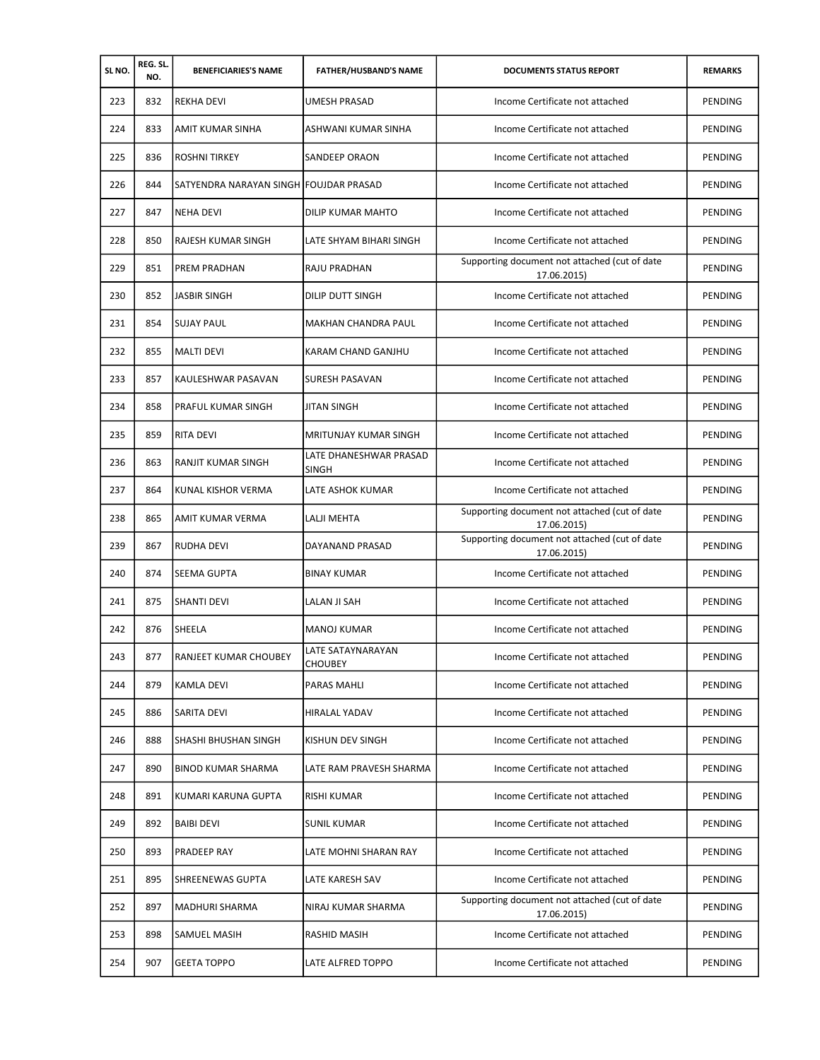| SLNO. | REG. SL.<br>NO. | <b>BENEFICIARIES'S NAME</b>            | <b>FATHER/HUSBAND'S NAME</b>               | <b>DOCUMENTS STATUS REPORT</b>                               | <b>REMARKS</b> |
|-------|-----------------|----------------------------------------|--------------------------------------------|--------------------------------------------------------------|----------------|
| 223   | 832             | <b>REKHA DEVI</b>                      | <b>UMESH PRASAD</b>                        | Income Certificate not attached                              | PENDING        |
| 224   | 833             | AMIT KUMAR SINHA                       | ASHWANI KUMAR SINHA                        | Income Certificate not attached                              | PENDING        |
| 225   | 836             | <b>ROSHNI TIRKEY</b>                   | SANDEEP ORAON                              | Income Certificate not attached                              | PENDING        |
| 226   | 844             | SATYENDRA NARAYAN SINGH FOUJDAR PRASAD |                                            | Income Certificate not attached                              | PENDING        |
| 227   | 847             | <b>NEHA DEVI</b>                       | DILIP KUMAR MAHTO                          | Income Certificate not attached                              | PENDING        |
| 228   | 850             | RAJESH KUMAR SINGH                     | LATE SHYAM BIHARI SINGH                    | Income Certificate not attached                              | PENDING        |
| 229   | 851             | PREM PRADHAN                           | RAJU PRADHAN                               | Supporting document not attached (cut of date<br>17.06.2015) | PENDING        |
| 230   | 852             | <b>JASBIR SINGH</b>                    | DILIP DUTT SINGH                           | Income Certificate not attached                              | PENDING        |
| 231   | 854             | <b>SUJAY PAUL</b>                      | <b>MAKHAN CHANDRA PAUL</b>                 | Income Certificate not attached                              | PENDING        |
| 232   | 855             | <b>MALTI DEVI</b>                      | KARAM CHAND GANJHU                         | Income Certificate not attached                              | PENDING        |
| 233   | 857             | KAULESHWAR PASAVAN                     | SURESH PASAVAN                             | Income Certificate not attached                              | PENDING        |
| 234   | 858             | <b>PRAFUL KUMAR SINGH</b>              | JITAN SINGH                                | Income Certificate not attached                              | PENDING        |
| 235   | 859             | <b>RITA DEVI</b>                       | MRITUNJAY KUMAR SINGH                      | Income Certificate not attached                              | PENDING        |
| 236   | 863             | RANJIT KUMAR SINGH                     | LATE DHANESHWAR PRASAD<br><b>SINGH</b>     | Income Certificate not attached                              | PENDING        |
| 237   | 864             | KUNAL KISHOR VERMA                     | LATE ASHOK KUMAR                           | Income Certificate not attached                              | PENDING        |
| 238   | 865             | AMIT KUMAR VERMA                       | LALJI MEHTA                                | Supporting document not attached (cut of date<br>17.06.2015) | PENDING        |
| 239   | 867             | RUDHA DEVI                             | DAYANAND PRASAD                            | Supporting document not attached (cut of date<br>17.06.2015) | PENDING        |
| 240   | 874             | <b>SEEMA GUPTA</b>                     | <b>BINAY KUMAR</b>                         | Income Certificate not attached                              | <b>PENDING</b> |
| 241   | 875             | <b>SHANTI DEVI</b>                     | LALAN JI SAH                               | Income Certificate not attached                              | PENDING        |
| 242   | 876             | <b>SHEELA</b>                          | <b>MANOJ KUMAR</b>                         | Income Certificate not attached                              | <b>PENDING</b> |
| 243   | 877             | RANJEET KUMAR CHOUBEY                  | <b>LATE SATAYNARAYAN</b><br><b>CHOUBEY</b> | Income Certificate not attached                              | PENDING        |
| 244   | 879             | <b>KAMLA DEVI</b>                      | PARAS MAHLI                                | Income Certificate not attached                              | PENDING        |
| 245   | 886             | <b>SARITA DEVI</b>                     | <b>HIRALAL YADAV</b>                       | Income Certificate not attached                              | PENDING        |
| 246   | 888             | SHASHI BHUSHAN SINGH                   | KISHUN DEV SINGH                           | Income Certificate not attached                              | PENDING        |
| 247   | 890             | <b>BINOD KUMAR SHARMA</b>              | LATE RAM PRAVESH SHARMA                    | Income Certificate not attached                              | PENDING        |
| 248   | 891             | KUMARI KARUNA GUPTA                    | <b>RISHI KUMAR</b>                         | Income Certificate not attached                              | PENDING        |
| 249   | 892             | <b>BAIBI DEVI</b>                      | <b>SUNIL KUMAR</b>                         | Income Certificate not attached                              | PENDING        |
| 250   | 893             | PRADEEP RAY                            | LATE MOHNI SHARAN RAY                      | Income Certificate not attached                              | PENDING        |
| 251   | 895             | SHREENEWAS GUPTA                       | LATE KARESH SAV                            | Income Certificate not attached                              | PENDING        |
| 252   | 897             | MADHURI SHARMA                         | NIRAJ KUMAR SHARMA                         | Supporting document not attached (cut of date<br>17.06.2015) | PENDING        |
| 253   | 898             | SAMUEL MASIH                           | RASHID MASIH                               | Income Certificate not attached                              | PENDING        |
| 254   | 907             | <b>GEETA TOPPO</b>                     | LATE ALFRED TOPPO                          | Income Certificate not attached                              | PENDING        |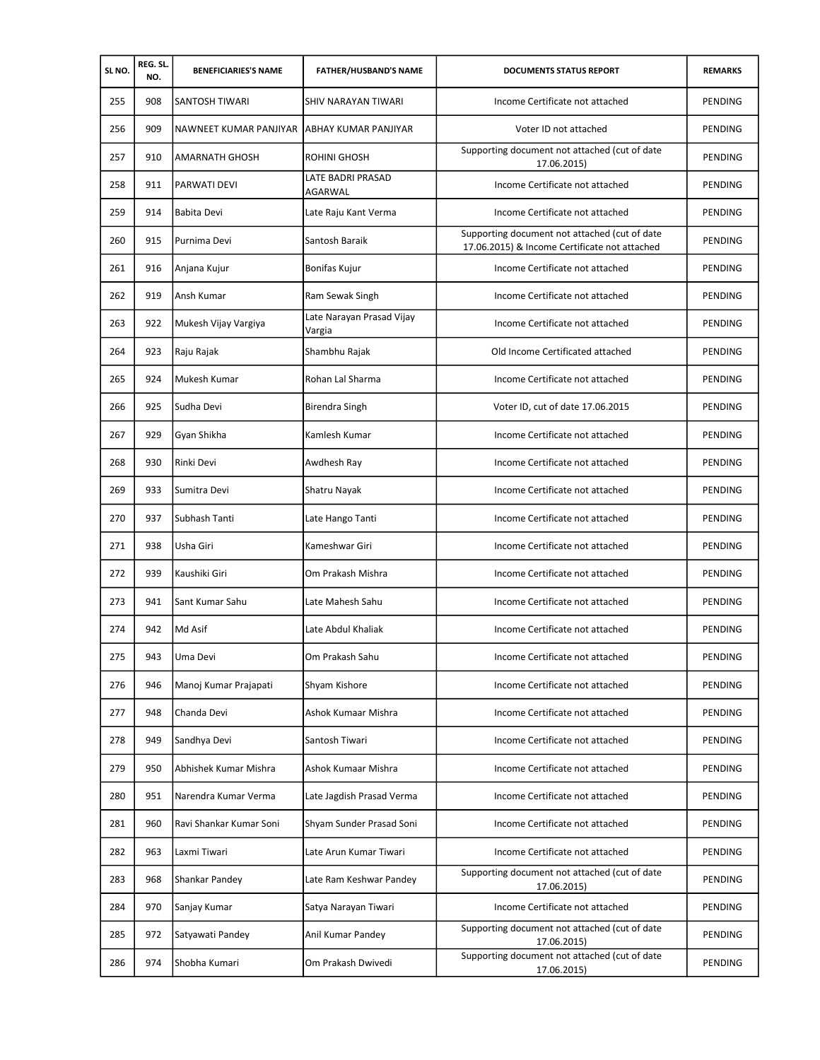| SLNO. | REG. SL.<br>NO. | <b>BENEFICIARIES'S NAME</b> | <b>FATHER/HUSBAND'S NAME</b>               | <b>DOCUMENTS STATUS REPORT</b>                                                                 | <b>REMARKS</b> |
|-------|-----------------|-----------------------------|--------------------------------------------|------------------------------------------------------------------------------------------------|----------------|
| 255   | 908             | SANTOSH TIWARI              | SHIV NARAYAN TIWARI                        | Income Certificate not attached                                                                | PENDING        |
| 256   | 909             | NAWNEET KUMAR PANJIYAR      | ABHAY KUMAR PANJIYAR                       | Voter ID not attached                                                                          | PENDING        |
| 257   | 910             | <b>AMARNATH GHOSH</b>       | ROHINI GHOSH                               | Supporting document not attached (cut of date<br>17.06.2015)                                   | PENDING        |
| 258   | 911             | PARWATI DEVI                | <b>LATE BADRI PRASAD</b><br><b>AGARWAL</b> | Income Certificate not attached                                                                | PENDING        |
| 259   | 914             | <b>Babita Devi</b>          | Late Raju Kant Verma                       | Income Certificate not attached                                                                | <b>PENDING</b> |
| 260   | 915             | Purnima Devi                | Santosh Baraik                             | Supporting document not attached (cut of date<br>17.06.2015) & Income Certificate not attached | PENDING        |
| 261   | 916             | Anjana Kujur                | Bonifas Kujur                              | Income Certificate not attached                                                                | PENDING        |
| 262   | 919             | Ansh Kumar                  | Ram Sewak Singh                            | Income Certificate not attached                                                                | PENDING        |
| 263   | 922             | Mukesh Vijay Vargiya        | Late Narayan Prasad Vijay<br>Vargia        | Income Certificate not attached                                                                | PENDING        |
| 264   | 923             | Raju Rajak                  | Shambhu Rajak                              | Old Income Certificated attached                                                               | PENDING        |
| 265   | 924             | Mukesh Kumar                | Rohan Lal Sharma                           | Income Certificate not attached                                                                | <b>PENDING</b> |
| 266   | 925             | Sudha Devi                  | Birendra Singh                             | Voter ID, cut of date 17.06.2015                                                               | PENDING        |
| 267   | 929             | Gyan Shikha                 | Kamlesh Kumar                              | Income Certificate not attached                                                                | PENDING        |
| 268   | 930             | Rinki Devi                  | Awdhesh Ray                                | Income Certificate not attached                                                                | PENDING        |
| 269   | 933             | Sumitra Devi                | Shatru Nayak                               | Income Certificate not attached                                                                | PENDING        |
| 270   | 937             | Subhash Tanti               | Late Hango Tanti                           | Income Certificate not attached                                                                | PENDING        |
| 271   | 938             | Usha Giri                   | Kameshwar Giri                             | Income Certificate not attached                                                                | PENDING        |
| 272   | 939             | Kaushiki Giri               | Om Prakash Mishra                          | Income Certificate not attached                                                                | PENDING        |
| 273   | 941             | Sant Kumar Sahu             | Late Mahesh Sahu                           | Income Certificate not attached                                                                | PENDING        |
| 274   | 942             | Md Asif                     | Late Abdul Khaliak                         | Income Certificate not attached                                                                | PENDING        |
| 275   | 943             | Uma Devi                    | Om Prakash Sahu                            | Income Certificate not attached                                                                | PENDING        |
| 276   | 946             | Manoj Kumar Prajapati       | Shyam Kishore                              | Income Certificate not attached                                                                | PENDING        |
| 277   | 948             | Chanda Devi                 | Ashok Kumaar Mishra                        | Income Certificate not attached                                                                | PENDING        |
| 278   | 949             | Sandhya Devi                | Santosh Tiwari                             | Income Certificate not attached                                                                | PENDING        |
| 279   | 950             | Abhishek Kumar Mishra       | Ashok Kumaar Mishra                        | Income Certificate not attached                                                                | PENDING        |
| 280   | 951             | Narendra Kumar Verma        | Late Jagdish Prasad Verma                  | Income Certificate not attached                                                                | PENDING        |
| 281   | 960             | Ravi Shankar Kumar Soni     | Shyam Sunder Prasad Soni                   | Income Certificate not attached                                                                | PENDING        |
| 282   | 963             | Laxmi Tiwari                | Late Arun Kumar Tiwari                     | Income Certificate not attached                                                                | PENDING        |
| 283   | 968             | Shankar Pandey              | Late Ram Keshwar Pandey                    | Supporting document not attached (cut of date<br>17.06.2015)                                   | PENDING        |
| 284   | 970             | Sanjay Kumar                | Satya Narayan Tiwari                       | Income Certificate not attached                                                                | PENDING        |
| 285   | 972             | Satyawati Pandey            | Anil Kumar Pandey                          | Supporting document not attached (cut of date<br>17.06.2015)                                   | PENDING        |
| 286   | 974             | Shobha Kumari               | Om Prakash Dwivedi                         | Supporting document not attached (cut of date<br>17.06.2015)                                   | PENDING        |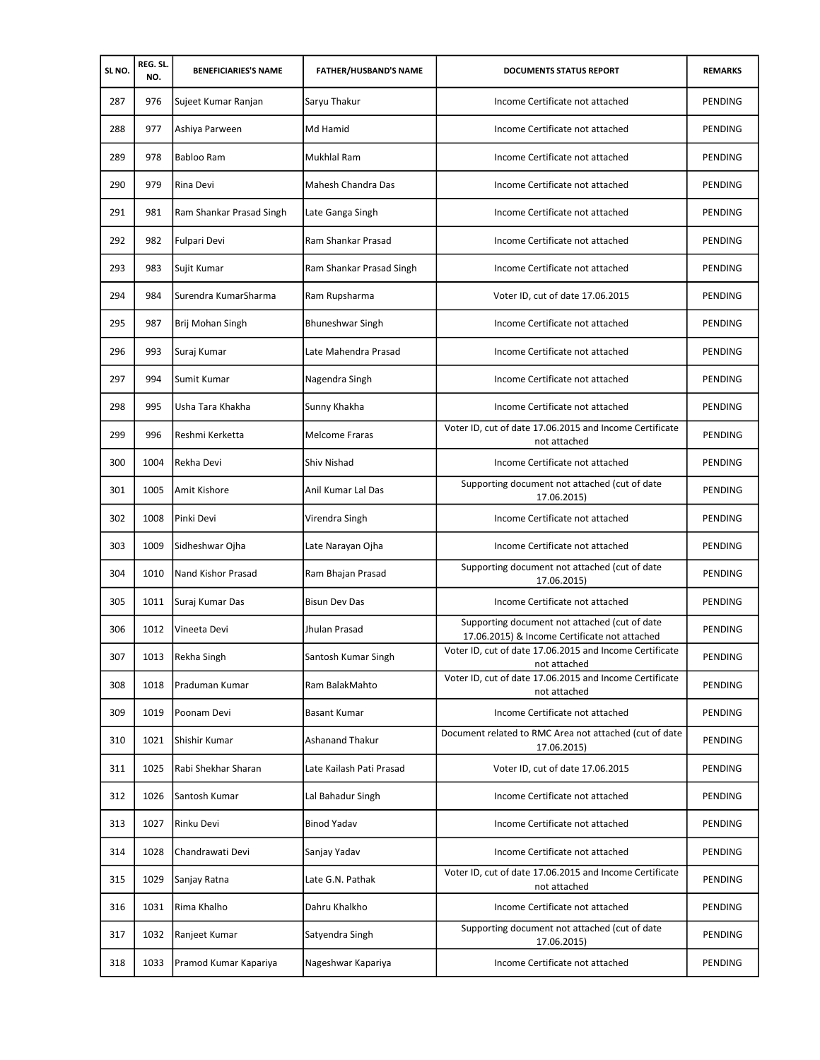| SLNO. | REG. SL.<br>NO. | <b>BENEFICIARIES'S NAME</b> | <b>FATHER/HUSBAND'S NAME</b> | <b>DOCUMENTS STATUS REPORT</b>                                                                 | <b>REMARKS</b> |
|-------|-----------------|-----------------------------|------------------------------|------------------------------------------------------------------------------------------------|----------------|
| 287   | 976             | Sujeet Kumar Ranjan         | Saryu Thakur                 | Income Certificate not attached                                                                | <b>PENDING</b> |
| 288   | 977             | Ashiya Parween              | Md Hamid                     | Income Certificate not attached                                                                | PENDING        |
| 289   | 978             | Babloo Ram                  | <b>Mukhlal Ram</b>           | Income Certificate not attached                                                                | PENDING        |
| 290   | 979             | Rina Devi                   | Mahesh Chandra Das           | Income Certificate not attached                                                                | PENDING        |
| 291   | 981             | Ram Shankar Prasad Singh    | Late Ganga Singh             | Income Certificate not attached                                                                | PENDING        |
| 292   | 982             | Fulpari Devi                | <b>Ram Shankar Prasad</b>    | Income Certificate not attached                                                                | PENDING        |
| 293   | 983             | Sujit Kumar                 | Ram Shankar Prasad Singh     | Income Certificate not attached                                                                | PENDING        |
| 294   | 984             | Surendra KumarSharma        | Ram Rupsharma                | Voter ID, cut of date 17.06.2015                                                               | PENDING        |
| 295   | 987             | Brij Mohan Singh            | <b>Bhuneshwar Singh</b>      | Income Certificate not attached                                                                | PENDING        |
| 296   | 993             | Suraj Kumar                 | Late Mahendra Prasad         | Income Certificate not attached                                                                | PENDING        |
| 297   | 994             | Sumit Kumar                 | Nagendra Singh               | Income Certificate not attached                                                                | PENDING        |
| 298   | 995             | Usha Tara Khakha            | Sunny Khakha                 | Income Certificate not attached                                                                | PENDING        |
| 299   | 996             | Reshmi Kerketta             | <b>Melcome Fraras</b>        | Voter ID, cut of date 17.06.2015 and Income Certificate<br>not attached                        | PENDING        |
| 300   | 1004            | Rekha Devi                  | Shiv Nishad                  | Income Certificate not attached                                                                | PENDING        |
| 301   | 1005            | Amit Kishore                | Anil Kumar Lal Das           | Supporting document not attached (cut of date<br>17.06.2015)                                   | PENDING        |
| 302   | 1008            | Pinki Devi                  | Virendra Singh               | Income Certificate not attached                                                                | PENDING        |
| 303   | 1009            | Sidheshwar Ojha             | Late Narayan Ojha            | Income Certificate not attached                                                                | PENDING        |
| 304   | 1010            | Nand Kishor Prasad          | Ram Bhajan Prasad            | Supporting document not attached (cut of date<br>17.06.2015)                                   | PENDING        |
| 305   | 1011            | Suraj Kumar Das             | <b>Bisun Dev Das</b>         | Income Certificate not attached                                                                | PENDING        |
| 306   | 1012            | Vineeta Devi                | Jhulan Prasad                | Supporting document not attached (cut of date<br>17.06.2015) & Income Certificate not attached | <b>PENDING</b> |
| 307   | 1013            | Rekha Singh                 | Santosh Kumar Singh          | Voter ID, cut of date 17.06.2015 and Income Certificate<br>not attached                        | PENDING        |
| 308   | 1018            | Praduman Kumar              | Ram BalakMahto               | Voter ID, cut of date 17.06.2015 and Income Certificate<br>not attached                        | PENDING        |
| 309   | 1019            | Poonam Devi                 | <b>Basant Kumar</b>          | Income Certificate not attached                                                                | PENDING        |
| 310   | 1021            | Shishir Kumar               | Ashanand Thakur              | Document related to RMC Area not attached (cut of date<br>17.06.2015)                          | PENDING        |
| 311   | 1025            | Rabi Shekhar Sharan         | Late Kailash Pati Prasad     | Voter ID, cut of date 17.06.2015                                                               | <b>PENDING</b> |
| 312   | 1026            | Santosh Kumar               | Lal Bahadur Singh            | Income Certificate not attached                                                                | PENDING        |
| 313   | 1027            | Rinku Devi                  | <b>Binod Yadav</b>           | Income Certificate not attached                                                                | PENDING        |
| 314   | 1028            | Chandrawati Devi            | Sanjay Yadav                 | Income Certificate not attached                                                                | PENDING        |
| 315   | 1029            | Sanjay Ratna                | Late G.N. Pathak             | Voter ID, cut of date 17.06.2015 and Income Certificate<br>not attached                        | PENDING        |
| 316   | 1031            | Rima Khalho                 | Dahru Khalkho                | Income Certificate not attached                                                                | PENDING        |
| 317   | 1032            | Ranjeet Kumar               | Satyendra Singh              | Supporting document not attached (cut of date<br>17.06.2015)                                   | PENDING        |
| 318   | 1033            | Pramod Kumar Kapariya       | Nageshwar Kapariya           | Income Certificate not attached                                                                | PENDING        |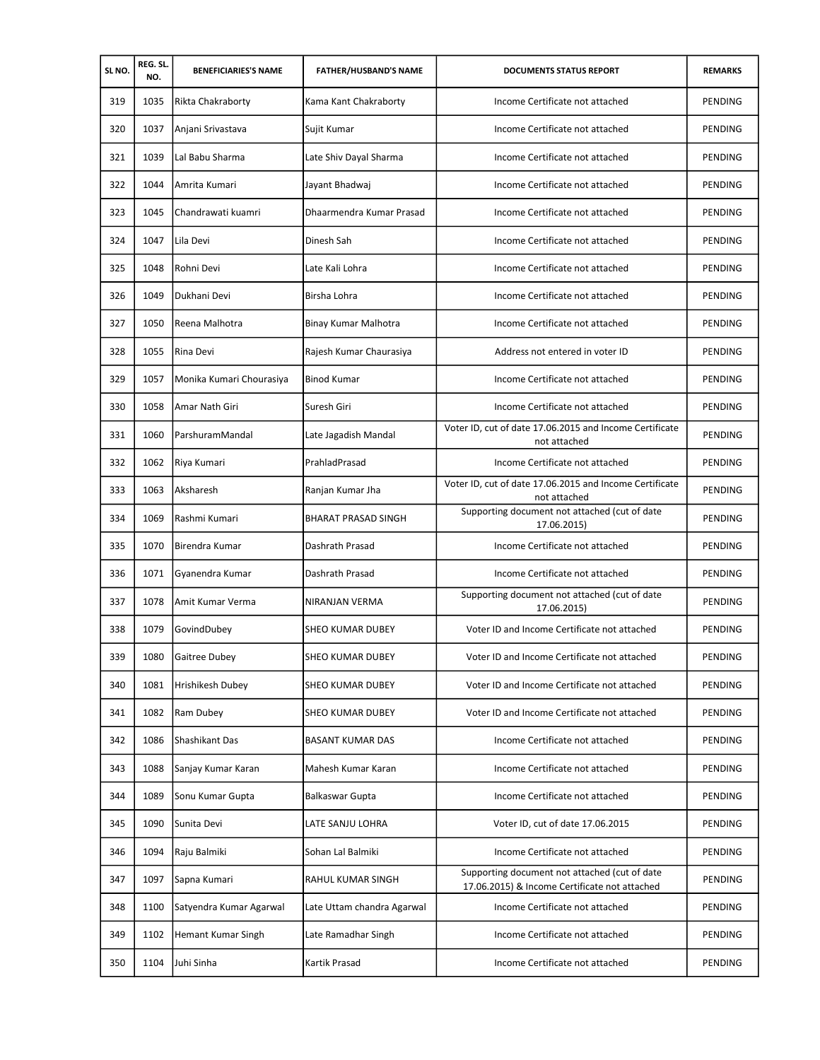| SLNO. | REG. SL.<br>NO. | <b>BENEFICIARIES'S NAME</b> | <b>FATHER/HUSBAND'S NAME</b> | <b>DOCUMENTS STATUS REPORT</b>                                                                 | <b>REMARKS</b> |
|-------|-----------------|-----------------------------|------------------------------|------------------------------------------------------------------------------------------------|----------------|
| 319   | 1035            | Rikta Chakraborty           | Kama Kant Chakraborty        | Income Certificate not attached                                                                | PENDING        |
| 320   | 1037            | Anjani Srivastava           | Sujit Kumar                  | Income Certificate not attached                                                                | PENDING        |
| 321   | 1039            | Lal Babu Sharma             | Late Shiv Dayal Sharma       | Income Certificate not attached                                                                | PENDING        |
| 322   | 1044            | Amrita Kumari               | Jayant Bhadwaj               | Income Certificate not attached                                                                | PENDING        |
| 323   | 1045            | Chandrawati kuamri          | Dhaarmendra Kumar Prasad     | Income Certificate not attached                                                                | PENDING        |
| 324   | 1047            | Lila Devi                   | Dinesh Sah                   | Income Certificate not attached                                                                | PENDING        |
| 325   | 1048            | Rohni Devi                  | Late Kali Lohra              | Income Certificate not attached                                                                | PENDING        |
| 326   | 1049            | Dukhani Devi                | Birsha Lohra                 | Income Certificate not attached                                                                | PENDING        |
| 327   | 1050            | Reena Malhotra              | Binay Kumar Malhotra         | Income Certificate not attached                                                                | PENDING        |
| 328   | 1055            | Rina Devi                   | Rajesh Kumar Chaurasiya      | Address not entered in voter ID                                                                | PENDING        |
| 329   | 1057            | Monika Kumari Chourasiya    | <b>Binod Kumar</b>           | Income Certificate not attached                                                                | PENDING        |
| 330   | 1058            | Amar Nath Giri              | Suresh Giri                  | Income Certificate not attached                                                                | PENDING        |
| 331   | 1060            | ParshuramMandal             | Late Jagadish Mandal         | Voter ID, cut of date 17.06.2015 and Income Certificate<br>not attached                        | PENDING        |
| 332   | 1062            | Riya Kumari                 | PrahladPrasad                | Income Certificate not attached                                                                | <b>PENDING</b> |
| 333   | 1063            | Aksharesh                   | Ranjan Kumar Jha             | Voter ID, cut of date 17.06.2015 and Income Certificate<br>not attached                        | PENDING        |
| 334   | 1069            | Rashmi Kumari               | <b>BHARAT PRASAD SINGH</b>   | Supporting document not attached (cut of date<br>17.06.2015)                                   | PENDING        |
| 335   | 1070            | Birendra Kumar              | Dashrath Prasad              | Income Certificate not attached                                                                | PENDING        |
| 336   | 1071            | Gyanendra Kumar             | Dashrath Prasad              | Income Certificate not attached                                                                | PENDING        |
| 337   | 1078            | Amit Kumar Verma            | NIRANJAN VERMA               | Supporting document not attached (cut of date<br>17.06.2015)                                   | PENDING        |
| 338   | 1079            | GovindDubey                 | <b>SHEO KUMAR DUBEY</b>      | Voter ID and Income Certificate not attached                                                   | PENDING        |
| 339   | 1080            | Gaitree Dubey               | SHEO KUMAR DUBEY             | Voter ID and Income Certificate not attached                                                   | PENDING        |
| 340   | 1081            | Hrishikesh Dubey            | <b>SHEO KUMAR DUBEY</b>      | Voter ID and Income Certificate not attached                                                   | PENDING        |
| 341   | 1082            | Ram Dubey                   | SHEO KUMAR DUBEY             | Voter ID and Income Certificate not attached                                                   | PENDING        |
| 342   | 1086            | Shashikant Das              | <b>BASANT KUMAR DAS</b>      | Income Certificate not attached                                                                | PENDING        |
| 343   | 1088            | Sanjay Kumar Karan          | Mahesh Kumar Karan           | Income Certificate not attached                                                                | PENDING        |
| 344   | 1089            | Sonu Kumar Gupta            | Balkaswar Gupta              | Income Certificate not attached                                                                | PENDING        |
| 345   | 1090            | Sunita Devi                 | LATE SANJU LOHRA             | Voter ID, cut of date 17.06.2015                                                               | PENDING        |
| 346   | 1094            | Raju Balmiki                | Sohan Lal Balmiki            | Income Certificate not attached                                                                | PENDING        |
| 347   | 1097            | Sapna Kumari                | RAHUL KUMAR SINGH            | Supporting document not attached (cut of date<br>17.06.2015) & Income Certificate not attached | PENDING        |
| 348   | 1100            | Satyendra Kumar Agarwal     | Late Uttam chandra Agarwal   | Income Certificate not attached                                                                | PENDING        |
| 349   | 1102            | Hemant Kumar Singh          | Late Ramadhar Singh          | Income Certificate not attached                                                                | PENDING        |
| 350   | 1104            | Juhi Sinha                  | Kartik Prasad                | Income Certificate not attached                                                                | PENDING        |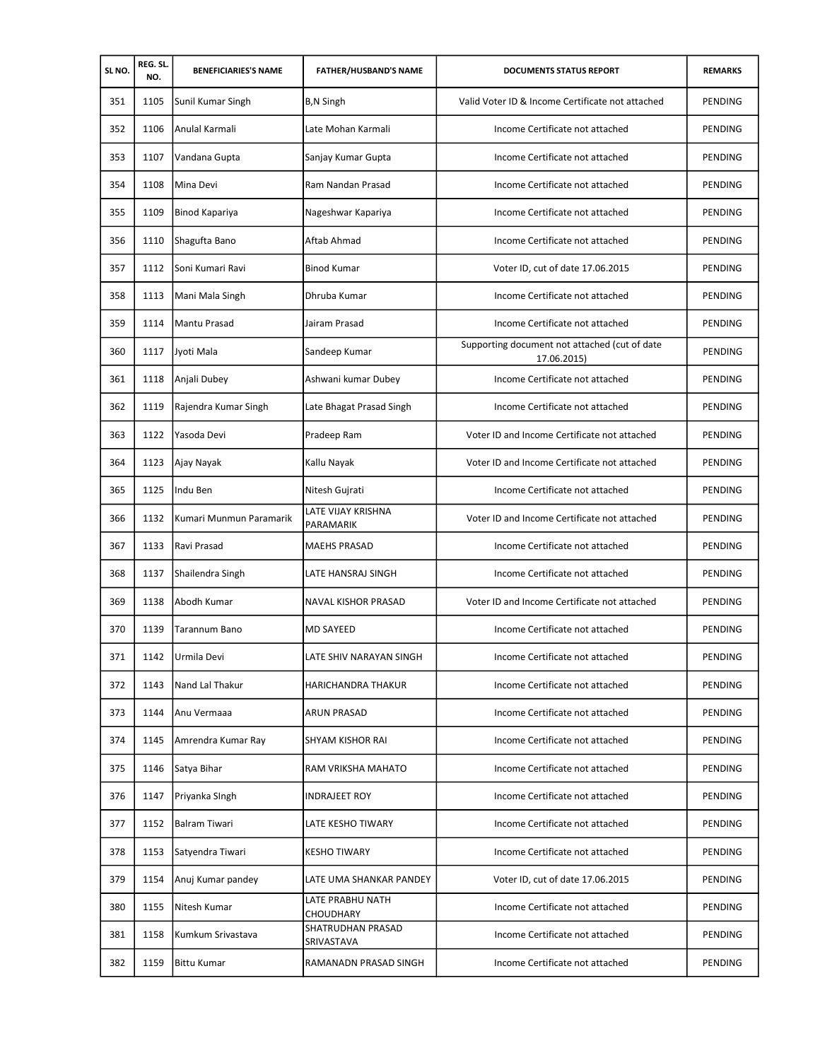| SLNO. | REG. SL.<br>NO. | <b>BENEFICIARIES'S NAME</b> | <b>FATHER/HUSBAND'S NAME</b>    | <b>DOCUMENTS STATUS REPORT</b>                               | <b>REMARKS</b> |
|-------|-----------------|-----------------------------|---------------------------------|--------------------------------------------------------------|----------------|
| 351   | 1105            | Sunil Kumar Singh           | <b>B,N Singh</b>                | Valid Voter ID & Income Certificate not attached             | PENDING        |
| 352   | 1106            | Anulal Karmali              | Late Mohan Karmali              | Income Certificate not attached                              | PENDING        |
| 353   | 1107            | Vandana Gupta               | Sanjay Kumar Gupta              | Income Certificate not attached                              | PENDING        |
| 354   | 1108            | Mina Devi                   | Ram Nandan Prasad               | Income Certificate not attached                              | PENDING        |
| 355   | 1109            | Binod Kapariya              | Nageshwar Kapariya              | Income Certificate not attached                              | PENDING        |
| 356   | 1110            | Shagufta Bano               | Aftab Ahmad                     | Income Certificate not attached                              | <b>PENDING</b> |
| 357   | 1112            | Soni Kumari Ravi            | <b>Binod Kumar</b>              | Voter ID, cut of date 17.06.2015                             | PENDING        |
| 358   | 1113            | Mani Mala Singh             | Dhruba Kumar                    | Income Certificate not attached                              | PENDING        |
| 359   | 1114            | <b>Mantu Prasad</b>         | Jairam Prasad                   | Income Certificate not attached                              | PENDING        |
| 360   | 1117            | Jyoti Mala                  | Sandeep Kumar                   | Supporting document not attached (cut of date<br>17.06.2015) | PENDING        |
| 361   | 1118            | Anjali Dubey                | Ashwani kumar Dubey             | Income Certificate not attached                              | PENDING        |
| 362   | 1119            | Rajendra Kumar Singh        | Late Bhagat Prasad Singh        | Income Certificate not attached                              | PENDING        |
| 363   | 1122            | Yasoda Devi                 | Pradeep Ram                     | Voter ID and Income Certificate not attached                 | PENDING        |
| 364   | 1123            | Ajay Nayak                  | Kallu Nayak                     | Voter ID and Income Certificate not attached                 | PENDING        |
| 365   | 1125            | Indu Ben                    | Nitesh Gujrati                  | Income Certificate not attached                              | PENDING        |
| 366   | 1132            | Kumari Munmun Paramarik     | LATE VIJAY KRISHNA<br>PARAMARIK | Voter ID and Income Certificate not attached                 | PENDING        |
| 367   | 1133            | Ravi Prasad                 | <b>MAEHS PRASAD</b>             | Income Certificate not attached                              | PENDING        |
| 368   | 1137            | Shailendra Singh            | LATE HANSRAJ SINGH              | Income Certificate not attached                              | PENDING        |
| 369   | 1138            | Abodh Kumar                 | <b>NAVAL KISHOR PRASAD</b>      | Voter ID and Income Certificate not attached                 | PENDING        |
| 370   | 1139            | <b>Tarannum Bano</b>        | <b>MD SAYEED</b>                | Income Certificate not attached                              | PENDING        |
| 371   | 1142            | Urmila Devi                 | LATE SHIV NARAYAN SINGH         | Income Certificate not attached                              | PENDING        |
| 372   | 1143            | Nand Lal Thakur             | <b>HARICHANDRA THAKUR</b>       | Income Certificate not attached                              | PENDING        |
| 373   | 1144            | Anu Vermaaa                 | <b>ARUN PRASAD</b>              | Income Certificate not attached                              | PENDING        |
| 374   | 1145            | Amrendra Kumar Rav          | SHYAM KISHOR RAI                | Income Certificate not attached                              | PENDING        |
| 375   | 1146            | Satya Bihar                 | RAM VRIKSHA MAHATO              | Income Certificate not attached                              | PENDING        |
| 376   | 1147            | Priyanka SIngh              | <b>INDRAJEET ROY</b>            | Income Certificate not attached                              | PENDING        |
| 377   | 1152            | <b>Balram Tiwari</b>        | LATE KESHO TIWARY               | Income Certificate not attached                              | PENDING        |
| 378   | 1153            | Satyendra Tiwari            | <b>KESHO TIWARY</b>             | Income Certificate not attached                              | PENDING        |
| 379   | 1154            | Anuj Kumar pandey           | LATE UMA SHANKAR PANDEY         | Voter ID, cut of date 17.06.2015                             | PENDING        |
| 380   | 1155            | Nitesh Kumar                | LATE PRABHU NATH<br>CHOUDHARY   | Income Certificate not attached                              | PENDING        |
| 381   | 1158            | Kumkum Srivastava           | SHATRUDHAN PRASAD<br>SRIVASTAVA | Income Certificate not attached                              | PENDING        |
| 382   | 1159            | Bittu Kumar                 | RAMANADN PRASAD SINGH           | Income Certificate not attached                              | PENDING        |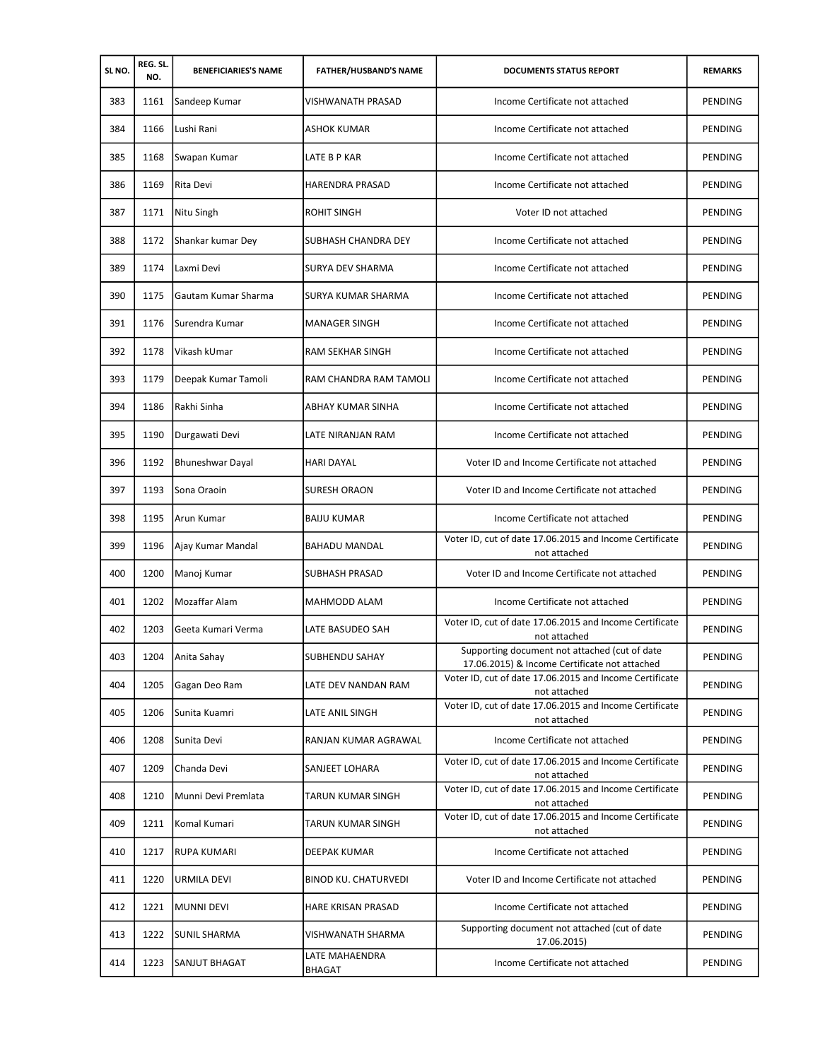| SLNO. | REG. SL.<br>NO. | <b>BENEFICIARIES'S NAME</b> | <b>FATHER/HUSBAND'S NAME</b> | <b>DOCUMENTS STATUS REPORT</b>                                                                 | <b>REMARKS</b> |
|-------|-----------------|-----------------------------|------------------------------|------------------------------------------------------------------------------------------------|----------------|
| 383   | 1161            | Sandeep Kumar               | <b>VISHWANATH PRASAD</b>     | Income Certificate not attached                                                                | <b>PENDING</b> |
| 384   | 1166            | Lushi Rani                  | ASHOK KUMAR                  | Income Certificate not attached                                                                | <b>PENDING</b> |
| 385   | 1168            | Swapan Kumar                | LATE B P KAR                 | Income Certificate not attached                                                                | PENDING        |
| 386   | 1169            | Rita Devi                   | HARENDRA PRASAD              | Income Certificate not attached                                                                | PENDING        |
| 387   | 1171            | Nitu Singh                  | <b>ROHIT SINGH</b>           | Voter ID not attached                                                                          | PENDING        |
| 388   | 1172            | Shankar kumar Dey           | SUBHASH CHANDRA DEY          | Income Certificate not attached                                                                | PENDING        |
| 389   | 1174            | Laxmi Devi                  | SURYA DEV SHARMA             | Income Certificate not attached                                                                | PENDING        |
| 390   | 1175            | Gautam Kumar Sharma         | SURYA KUMAR SHARMA           | Income Certificate not attached                                                                | PENDING        |
| 391   | 1176            | Surendra Kumar              | <b>MANAGER SINGH</b>         | Income Certificate not attached                                                                | PENDING        |
| 392   | 1178            | Vikash kUmar                | <b>RAM SEKHAR SINGH</b>      | Income Certificate not attached                                                                | PENDING        |
| 393   | 1179            | Deepak Kumar Tamoli         | RAM CHANDRA RAM TAMOLI       | Income Certificate not attached                                                                | PENDING        |
| 394   | 1186            | Rakhi Sinha                 | ABHAY KUMAR SINHA            | Income Certificate not attached                                                                | PENDING        |
| 395   | 1190            | Durgawati Devi              | LATE NIRANJAN RAM            | Income Certificate not attached                                                                | PENDING        |
| 396   | 1192            | <b>Bhuneshwar Dayal</b>     | <b>HARI DAYAL</b>            | Voter ID and Income Certificate not attached                                                   | PENDING        |
| 397   | 1193            | Sona Oraoin                 | SURESH ORAON                 | Voter ID and Income Certificate not attached                                                   | PENDING        |
| 398   | 1195            | Arun Kumar                  | <b>BAIJU KUMAR</b>           | Income Certificate not attached                                                                | PENDING        |
| 399   | 1196            | Ajay Kumar Mandal           | BAHADU MANDAL                | Voter ID, cut of date 17.06.2015 and Income Certificate<br>not attached                        | PENDING        |
| 400   | 1200            | Manoj Kumar                 | <b>SUBHASH PRASAD</b>        | Voter ID and Income Certificate not attached                                                   | PENDING        |
| 401   | 1202            | Mozaffar Alam               | MAHMODD ALAM                 | Income Certificate not attached                                                                | PENDING        |
| 402   | 1203            | Geeta Kumari Verma          | LATE BASUDEO SAH             | Voter ID, cut of date 17.06.2015 and Income Certificate<br>not attached                        | <b>PENDING</b> |
| 403   | 1204            | Anita Sahay                 | <b>SUBHENDU SAHAY</b>        | Supporting document not attached (cut of date<br>17.06.2015) & Income Certificate not attached | PENDING        |
| 404   | 1205            | Gagan Deo Ram               | LATE DEV NANDAN RAM          | Voter ID, cut of date 17.06.2015 and Income Certificate<br>not attached                        | PENDING        |
| 405   | 1206            | Sunita Kuamri               | LATE ANIL SINGH              | Voter ID, cut of date 17.06.2015 and Income Certificate<br>not attached                        | PENDING        |
| 406   | 1208            | Sunita Devi                 | RANJAN KUMAR AGRAWAL         | Income Certificate not attached                                                                | PENDING        |
| 407   | 1209            | Chanda Devi                 | SANJEET LOHARA               | Voter ID, cut of date 17.06.2015 and Income Certificate<br>not attached                        | PENDING        |
| 408   | 1210            | Munni Devi Premlata         | TARUN KUMAR SINGH            | Voter ID, cut of date 17.06.2015 and Income Certificate<br>not attached                        | PENDING        |
| 409   | 1211            | Komal Kumari                | TARUN KUMAR SINGH            | Voter ID, cut of date 17.06.2015 and Income Certificate<br>not attached                        | PENDING        |
| 410   | 1217            | <b>RUPA KUMARI</b>          | DEEPAK KUMAR                 | Income Certificate not attached                                                                | PENDING        |
| 411   | 1220            | URMILA DEVI                 | <b>BINOD KU. CHATURVEDI</b>  | Voter ID and Income Certificate not attached                                                   | PENDING        |
| 412   | 1221            | MUNNI DEVI                  | HARE KRISAN PRASAD           | Income Certificate not attached                                                                | PENDING        |
| 413   | 1222            | <b>SUNIL SHARMA</b>         | VISHWANATH SHARMA            | Supporting document not attached (cut of date<br>17.06.2015)                                   | PENDING        |
| 414   | 1223            | <b>SANJUT BHAGAT</b>        | LATE MAHAENDRA<br>BHAGAT     | Income Certificate not attached                                                                | PENDING        |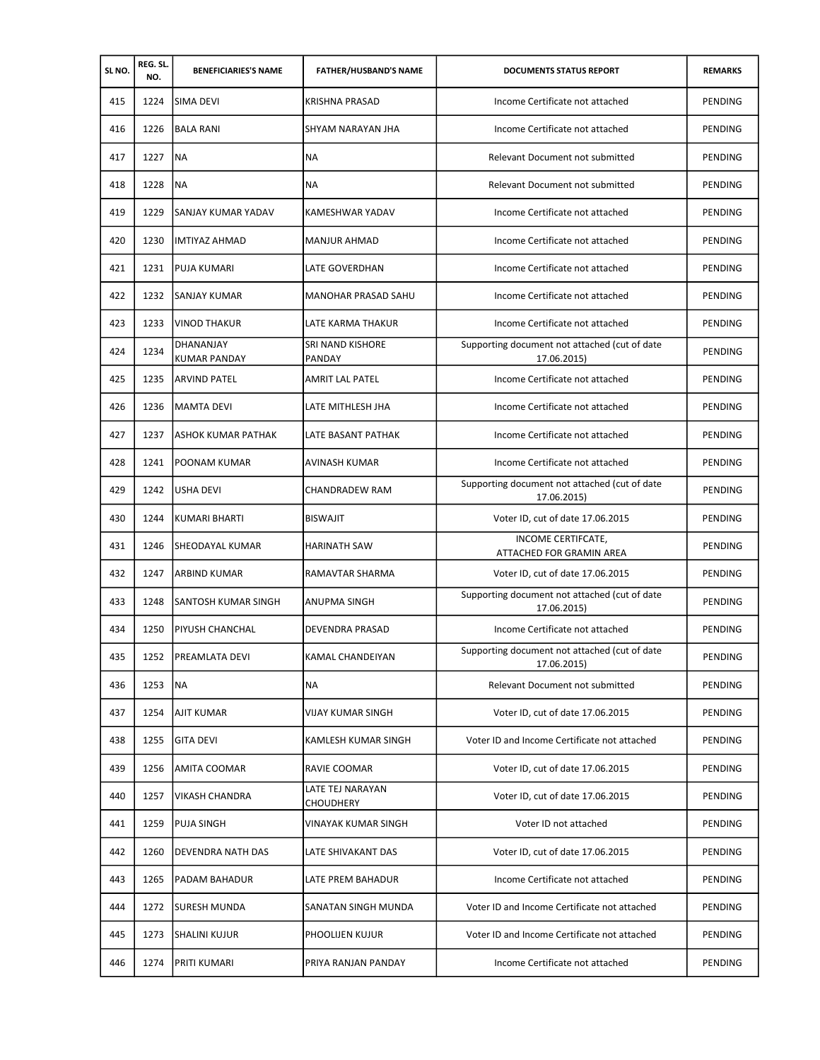| SLNO. | REG. SL.<br>NO. | <b>BENEFICIARIES'S NAME</b> | <b>FATHER/HUSBAND'S NAME</b>         | <b>DOCUMENTS STATUS REPORT</b>                               | <b>REMARKS</b> |
|-------|-----------------|-----------------------------|--------------------------------------|--------------------------------------------------------------|----------------|
| 415   | 1224            | <b>SIMA DEVI</b>            | <b>KRISHNA PRASAD</b>                | Income Certificate not attached                              | PENDING        |
| 416   | 1226            | <b>BALA RANI</b>            | SHYAM NARAYAN JHA                    | Income Certificate not attached                              | PENDING        |
| 417   | 1227            | <b>NA</b>                   | <b>NA</b>                            | Relevant Document not submitted                              | PENDING        |
| 418   | 1228            | <b>NA</b>                   | ΝA                                   | Relevant Document not submitted                              | PENDING        |
| 419   | 1229            | SANJAY KUMAR YADAV          | <b>KAMESHWAR YADAV</b>               | Income Certificate not attached                              | PENDING        |
| 420   | 1230            | IMTIYAZ AHMAD               | <b>MANJUR AHMAD</b>                  | Income Certificate not attached                              | PENDING        |
| 421   | 1231            | <b>PUJA KUMARI</b>          | LATE GOVERDHAN                       | Income Certificate not attached                              | PENDING        |
| 422   | 1232            | <b>SANJAY KUMAR</b>         | <b>MANOHAR PRASAD SAHU</b>           | Income Certificate not attached                              | PENDING        |
| 423   | 1233            | <b>VINOD THAKUR</b>         | <b>LATE KARMA THAKUR</b>             | Income Certificate not attached                              | PENDING        |
| 424   | 1234            | DHANANJAY<br>KUMAR PANDAY   | SRI NAND KISHORE<br>PANDAY           | Supporting document not attached (cut of date<br>17.06.2015) | PENDING        |
| 425   | 1235            | <b>ARVIND PATEL</b>         | <b>AMRIT LAL PATEL</b>               | Income Certificate not attached                              | PENDING        |
| 426   | 1236            | MAMTA DEVI                  | LATE MITHLESH JHA                    | Income Certificate not attached                              | PENDING        |
| 427   | 1237            | <b>ASHOK KUMAR PATHAK</b>   | LATE BASANT PATHAK                   | Income Certificate not attached                              | PENDING        |
| 428   | 1241            | <b>POONAM KUMAR</b>         | AVINASH KUMAR                        | Income Certificate not attached                              | PENDING        |
| 429   | 1242            | <b>USHA DEVI</b>            | CHANDRADEW RAM                       | Supporting document not attached (cut of date<br>17.06.2015) | PENDING        |
| 430   | 1244            | KUMARI BHARTI               | <b>BISWAJIT</b>                      | Voter ID, cut of date 17.06.2015                             | PENDING        |
| 431   | 1246            | SHEODAYAL KUMAR             | HARINATH SAW                         | INCOME CERTIFCATE,<br>ATTACHED FOR GRAMIN AREA               | PENDING        |
| 432   | 1247            | ARBIND KUMAR                | RAMAVTAR SHARMA                      | Voter ID, cut of date 17.06.2015                             | <b>PENDING</b> |
| 433   | 1248            | SANTOSH KUMAR SINGH         | <b>ANUPMA SINGH</b>                  | Supporting document not attached (cut of date<br>17.06.2015) | PENDING        |
| 434   | 1250            | <b>PIYUSH CHANCHAL</b>      | DEVENDRA PRASAD                      | Income Certificate not attached                              | PENDING        |
| 435   | 1252            | PREAMLATA DEVI              | KAMAL CHANDEIYAN                     | Supporting document not attached (cut of date<br>17.06.2015) | PENDING        |
| 436   | 1253            | <b>NA</b>                   | NA                                   | Relevant Document not submitted                              | PENDING        |
| 437   | 1254            | <b>AJIT KUMAR</b>           | VIJAY KUMAR SINGH                    | Voter ID, cut of date 17.06.2015                             | PENDING        |
| 438   | 1255            | <b>GITA DEVI</b>            | KAMLESH KUMAR SINGH                  | Voter ID and Income Certificate not attached                 | PENDING        |
| 439   | 1256            | <b>AMITA COOMAR</b>         | RAVIE COOMAR                         | Voter ID, cut of date 17.06.2015                             | PENDING        |
| 440   | 1257            | <b>VIKASH CHANDRA</b>       | LATE TEJ NARAYAN<br><b>CHOUDHERY</b> | Voter ID, cut of date 17.06.2015                             | PENDING        |
| 441   | 1259            | <b>PUJA SINGH</b>           | <b>VINAYAK KUMAR SINGH</b>           | Voter ID not attached                                        | PENDING        |
| 442   | 1260            | <b>DEVENDRA NATH DAS</b>    | LATE SHIVAKANT DAS                   | Voter ID, cut of date 17.06.2015                             | PENDING        |
| 443   | 1265            | <b>PADAM BAHADUR</b>        | LATE PREM BAHADUR                    | Income Certificate not attached                              | PENDING        |
| 444   | 1272            | <b>SURESH MUNDA</b>         | SANATAN SINGH MUNDA                  | Voter ID and Income Certificate not attached                 | PENDING        |
| 445   | 1273            | <b>SHALINI KUJUR</b>        | PHOOLIJEN KUJUR                      | Voter ID and Income Certificate not attached                 | PENDING        |
| 446   | 1274            | <b>PRITI KUMARI</b>         | PRIYA RANJAN PANDAY                  | Income Certificate not attached                              | PENDING        |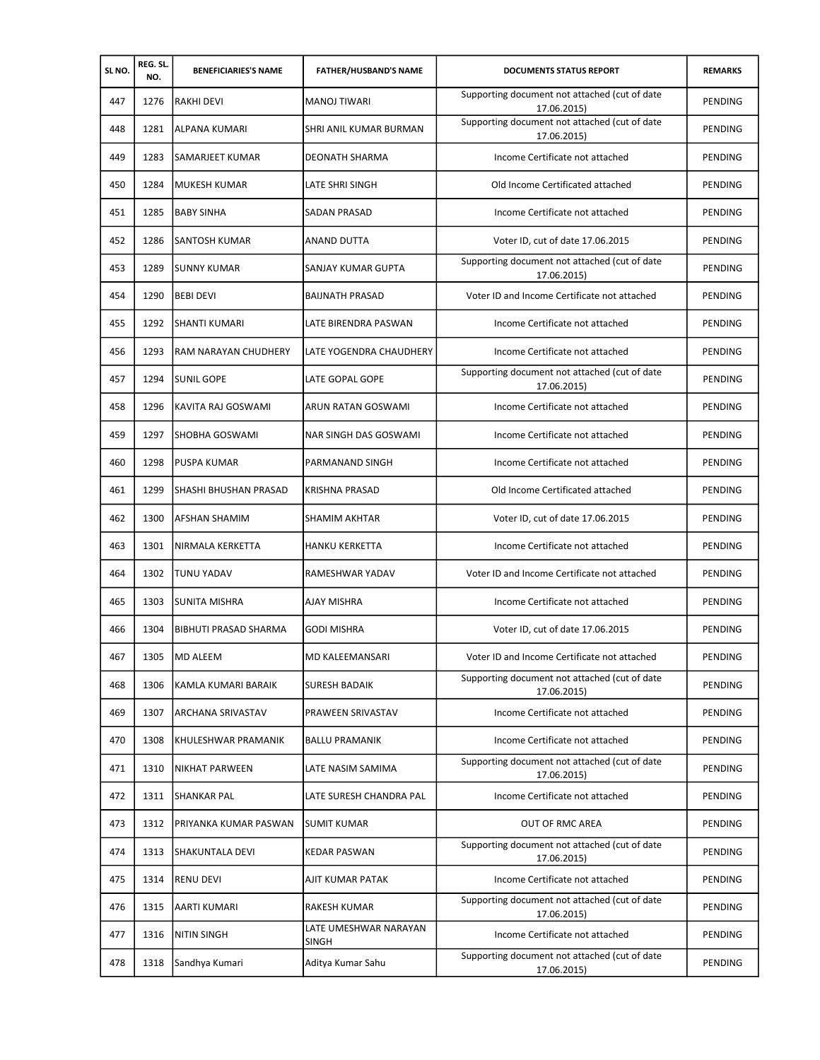| SLNO. | REG. SL.<br>NO. | <b>BENEFICIARIES'S NAME</b>  | <b>FATHER/HUSBAND'S NAME</b>          | <b>DOCUMENTS STATUS REPORT</b>                               | <b>REMARKS</b> |
|-------|-----------------|------------------------------|---------------------------------------|--------------------------------------------------------------|----------------|
| 447   | 1276            | <b>RAKHI DEVI</b>            | <b>MANOJ TIWARI</b>                   | Supporting document not attached (cut of date<br>17.06.2015) | PENDING        |
| 448   | 1281            | ALPANA KUMARI                | SHRI ANIL KUMAR BURMAN                | Supporting document not attached (cut of date<br>17.06.2015) | PENDING        |
| 449   | 1283            | SAMARJEET KUMAR              | DEONATH SHARMA                        | Income Certificate not attached                              | PENDING        |
| 450   | 1284            | MUKESH KUMAR                 | LATE SHRI SINGH                       | Old Income Certificated attached                             | PENDING        |
| 451   | 1285            | <b>BABY SINHA</b>            | <b>SADAN PRASAD</b>                   | Income Certificate not attached                              | PENDING        |
| 452   | 1286            | SANTOSH KUMAR                | <b>ANAND DUTTA</b>                    | Voter ID, cut of date 17.06.2015                             | PENDING        |
| 453   | 1289            | <b>SUNNY KUMAR</b>           | SANJAY KUMAR GUPTA                    | Supporting document not attached (cut of date<br>17.06.2015) | PENDING        |
| 454   | 1290            | <b>BEBI DEVI</b>             | <b>BAIJNATH PRASAD</b>                | Voter ID and Income Certificate not attached                 | PENDING        |
| 455   | 1292            | <b>SHANTI KUMARI</b>         | LATE BIRENDRA PASWAN                  | Income Certificate not attached                              | PENDING        |
| 456   | 1293            | RAM NARAYAN CHUDHERY         | LATE YOGENDRA CHAUDHERY               | Income Certificate not attached                              | PENDING        |
| 457   | 1294            | <b>SUNIL GOPE</b>            | LATE GOPAL GOPE                       | Supporting document not attached (cut of date<br>17.06.2015) | PENDING        |
| 458   | 1296            | KAVITA RAJ GOSWAMI           | ARUN RATAN GOSWAMI                    | Income Certificate not attached                              | PENDING        |
| 459   | 1297            | SHOBHA GOSWAMI               | NAR SINGH DAS GOSWAMI                 | Income Certificate not attached                              | PENDING        |
| 460   | 1298            | <b>PUSPA KUMAR</b>           | PARMANAND SINGH                       | Income Certificate not attached                              | PENDING        |
| 461   | 1299            | SHASHI BHUSHAN PRASAD        | KRISHNA PRASAD                        | Old Income Certificated attached                             | PENDING        |
| 462   | 1300            | AFSHAN SHAMIM                | SHAMIM AKHTAR                         | Voter ID, cut of date 17.06.2015                             | PENDING        |
| 463   | 1301            | NIRMALA KERKETTA             | <b>HANKU KERKETTA</b>                 | Income Certificate not attached                              | PENDING        |
| 464   | 1302            | <b>TUNU YADAV</b>            | RAMESHWAR YADAV                       | Voter ID and Income Certificate not attached                 | <b>PENDING</b> |
| 465   | 1303            | SUNITA MISHRA                | <b>AJAY MISHRA</b>                    | Income Certificate not attached                              | PENDING        |
| 466   | 1304            | <b>BIBHUTI PRASAD SHARMA</b> | <b>GODI MISHRA</b>                    | Voter ID, cut of date 17.06.2015                             | PENDING        |
| 467   | 1305            | <b>MD ALEEM</b>              | MD KALEEMANSARI                       | Voter ID and Income Certificate not attached                 | PENDING        |
| 468   | 1306            | KAMLA KUMARI BARAIK          | <b>SURESH BADAIK</b>                  | Supporting document not attached (cut of date<br>17.06.2015) | PENDING        |
| 469   | 1307            | <b>ARCHANA SRIVASTAV</b>     | PRAWEEN SRIVASTAV                     | Income Certificate not attached                              | PENDING        |
| 470   | 1308            | KHULESHWAR PRAMANIK          | <b>BALLU PRAMANIK</b>                 | Income Certificate not attached                              | PENDING        |
| 471   | 1310            | NIKHAT PARWEEN               | LATE NASIM SAMIMA                     | Supporting document not attached (cut of date<br>17.06.2015) | <b>PENDING</b> |
| 472   | 1311            | SHANKAR PAL                  | LATE SURESH CHANDRA PAL               | Income Certificate not attached                              | PENDING        |
| 473   | 1312            | PRIYANKA KUMAR PASWAN        | <b>SUMIT KUMAR</b>                    | OUT OF RMC AREA                                              | PENDING        |
| 474   | 1313            | SHAKUNTALA DEVI              | <b>KEDAR PASWAN</b>                   | Supporting document not attached (cut of date<br>17.06.2015) | PENDING        |
| 475   | 1314            | <b>RENU DEVI</b>             | AJIT KUMAR PATAK                      | Income Certificate not attached                              | PENDING        |
| 476   | 1315            | AARTI KUMARI                 | RAKESH KUMAR                          | Supporting document not attached (cut of date<br>17.06.2015) | PENDING        |
| 477   | 1316            | <b>NITIN SINGH</b>           | LATE UMESHWAR NARAYAN<br><b>SINGH</b> | Income Certificate not attached                              | PENDING        |
| 478   | 1318            | Sandhya Kumari               | Aditya Kumar Sahu                     | Supporting document not attached (cut of date<br>17.06.2015) | PENDING        |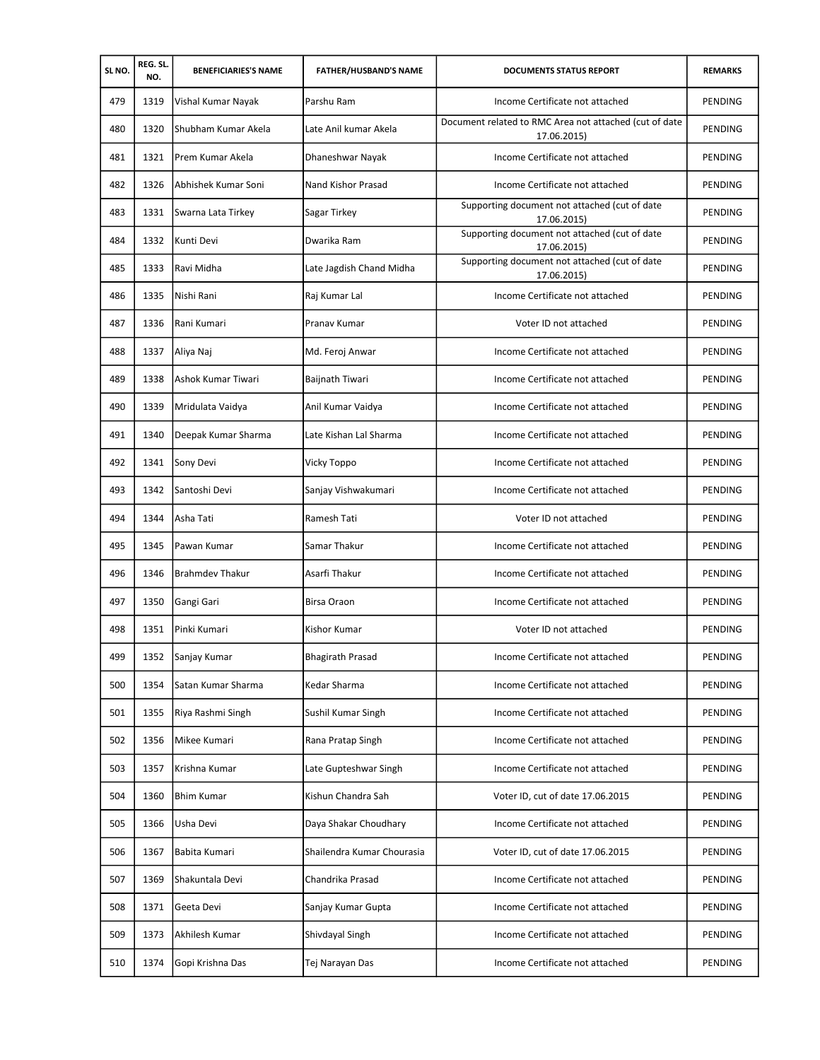| SLNO. | REG. SL.<br>NO. | <b>BENEFICIARIES'S NAME</b> | <b>FATHER/HUSBAND'S NAME</b> | <b>DOCUMENTS STATUS REPORT</b>                                        | <b>REMARKS</b> |
|-------|-----------------|-----------------------------|------------------------------|-----------------------------------------------------------------------|----------------|
| 479   | 1319            | Vishal Kumar Nayak          | Parshu Ram                   | Income Certificate not attached                                       | PENDING        |
| 480   | 1320            | Shubham Kumar Akela         | Late Anil kumar Akela        | Document related to RMC Area not attached (cut of date<br>17.06.2015) | PENDING        |
| 481   | 1321            | Prem Kumar Akela            | Dhaneshwar Nayak             | Income Certificate not attached                                       | PENDING        |
| 482   | 1326            | Abhishek Kumar Soni         | Nand Kishor Prasad           | Income Certificate not attached                                       | PENDING        |
| 483   | 1331            | Swarna Lata Tirkey          | Sagar Tirkey                 | Supporting document not attached (cut of date<br>17.06.2015)          | PENDING        |
| 484   | 1332            | Kunti Devi                  | Dwarika Ram                  | Supporting document not attached (cut of date<br>17.06.2015)          | <b>PENDING</b> |
| 485   | 1333            | Ravi Midha                  | Late Jagdish Chand Midha     | Supporting document not attached (cut of date<br>17.06.2015)          | PENDING        |
| 486   | 1335            | Nishi Rani                  | Raj Kumar Lal                | Income Certificate not attached                                       | PENDING        |
| 487   | 1336            | Rani Kumari                 | Pranav Kumar                 | Voter ID not attached                                                 | PENDING        |
| 488   | 1337            | Aliya Naj                   | Md. Feroj Anwar              | Income Certificate not attached                                       | PENDING        |
| 489   | 1338            | Ashok Kumar Tiwari          | Baijnath Tiwari              | Income Certificate not attached                                       | PENDING        |
| 490   | 1339            | Mridulata Vaidya            | Anil Kumar Vaidya            | Income Certificate not attached                                       | PENDING        |
| 491   | 1340            | Deepak Kumar Sharma         | Late Kishan Lal Sharma       | Income Certificate not attached                                       | PENDING        |
| 492   | 1341            | Sony Devi                   | Vicky Toppo                  | Income Certificate not attached                                       | PENDING        |
| 493   | 1342            | Santoshi Devi               | Sanjay Vishwakumari          | Income Certificate not attached                                       | PENDING        |
| 494   | 1344            | Asha Tati                   | Ramesh Tati                  | Voter ID not attached                                                 | PENDING        |
| 495   | 1345            | Pawan Kumar                 | Samar Thakur                 | Income Certificate not attached                                       | PENDING        |
| 496   | 1346            | <b>Brahmdev Thakur</b>      | Asarfi Thakur                | Income Certificate not attached                                       | PENDING        |
| 497   | 1350            | Gangi Gari                  | Birsa Oraon                  | Income Certificate not attached                                       | PENDING        |
| 498   | 1351            | Pinki Kumari                | Kishor Kumar                 | Voter ID not attached                                                 | <b>PENDING</b> |
| 499   | 1352            | Sanjay Kumar                | <b>Bhagirath Prasad</b>      | Income Certificate not attached                                       | PENDING        |
| 500   | 1354            | Satan Kumar Sharma          | Kedar Sharma                 | Income Certificate not attached                                       | PENDING        |
| 501   | 1355            | Riya Rashmi Singh           | Sushil Kumar Singh           | Income Certificate not attached                                       | PENDING        |
| 502   | 1356            | Mikee Kumari                | Rana Pratap Singh            | Income Certificate not attached                                       | PENDING        |
| 503   | 1357            | Krishna Kumar               | Late Gupteshwar Singh        | Income Certificate not attached                                       | PENDING        |
| 504   | 1360            | <b>Bhim Kumar</b>           | Kishun Chandra Sah           | Voter ID, cut of date 17.06.2015                                      | PENDING        |
| 505   | 1366            | Usha Devi                   | Daya Shakar Choudhary        | Income Certificate not attached                                       | PENDING        |
| 506   | 1367            | Babita Kumari               | Shailendra Kumar Chourasia   | Voter ID, cut of date 17.06.2015                                      | PENDING        |
| 507   | 1369            | Shakuntala Devi             | Chandrika Prasad             | Income Certificate not attached                                       | PENDING        |
| 508   | 1371            | Geeta Devi                  | Sanjay Kumar Gupta           | Income Certificate not attached                                       | PENDING        |
| 509   | 1373            | Akhilesh Kumar              | Shivdayal Singh              | Income Certificate not attached                                       | PENDING        |
| 510   | 1374            | Gopi Krishna Das            | Tej Narayan Das              | Income Certificate not attached                                       | PENDING        |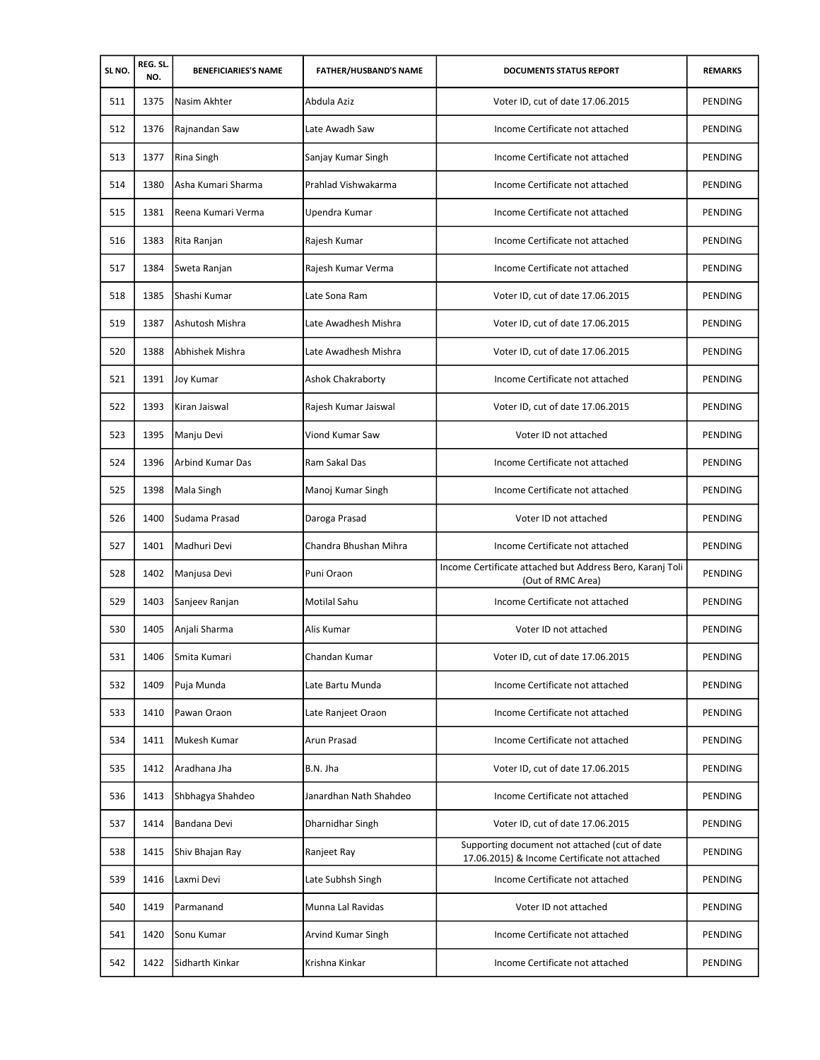| SLNO. | REG. SL.<br>NO. | <b>BENEFICIARIES'S NAME</b> | <b>FATHER/HUSBAND'S NAME</b> | <b>DOCUMENTS STATUS REPORT</b>                                                                 | <b>REMARKS</b> |
|-------|-----------------|-----------------------------|------------------------------|------------------------------------------------------------------------------------------------|----------------|
| 511   | 1375            | Nasim Akhter                | Abdula Aziz                  | Voter ID, cut of date 17.06.2015                                                               | PENDING        |
| 512   | 1376            | Rajnandan Saw               | Late Awadh Saw               | Income Certificate not attached                                                                | PENDING        |
| 513   | 1377            | <b>Rina Singh</b>           | Sanjay Kumar Singh           | Income Certificate not attached                                                                | PENDING        |
| 514   | 1380            | Asha Kumari Sharma          | Prahlad Vishwakarma          | Income Certificate not attached                                                                | PENDING        |
| 515   | 1381            | Reena Kumari Verma          | Upendra Kumar                | Income Certificate not attached                                                                | PENDING        |
| 516   | 1383            | Rita Ranjan                 | Rajesh Kumar                 | Income Certificate not attached                                                                | PENDING        |
| 517   | 1384            | Sweta Ranjan                | Rajesh Kumar Verma           | Income Certificate not attached                                                                | PENDING        |
| 518   | 1385            | Shashi Kumar                | Late Sona Ram                | Voter ID, cut of date 17.06.2015                                                               | PENDING        |
| 519   | 1387            | Ashutosh Mishra             | Late Awadhesh Mishra         | Voter ID, cut of date 17.06.2015                                                               | PENDING        |
| 520   | 1388            | Abhishek Mishra             | Late Awadhesh Mishra         | Voter ID, cut of date 17.06.2015                                                               | PENDING        |
| 521   | 1391            | <b>Joy Kumar</b>            | <b>Ashok Chakraborty</b>     | Income Certificate not attached                                                                | PENDING        |
| 522   | 1393            | Kiran Jaiswal               | Rajesh Kumar Jaiswal         | Voter ID, cut of date 17.06.2015                                                               | PENDING        |
| 523   | 1395            | Manju Devi                  | Viond Kumar Saw              | Voter ID not attached                                                                          | PENDING        |
| 524   | 1396            | Arbind Kumar Das            | Ram Sakal Das                | Income Certificate not attached                                                                | PENDING        |
| 525   | 1398            | Mala Singh                  | Manoj Kumar Singh            | Income Certificate not attached                                                                | PENDING        |
| 526   | 1400            | Sudama Prasad               | Daroga Prasad                | Voter ID not attached                                                                          | PENDING        |
| 527   | 1401            | Madhuri Devi                | Chandra Bhushan Mihra        | Income Certificate not attached                                                                | PENDING        |
| 528   | 1402            | Manjusa Devi                | Puni Oraon                   | Income Certificate attached but Address Bero, Karanj Toli<br>(Out of RMC Area)                 | PENDING        |
| 529   | 1403            | Sanjeev Ranjan              | <b>Motilal Sahu</b>          | Income Certificate not attached                                                                | PENDING        |
| 530   | 1405            | Anjali Sharma               | Alis Kumar                   | Voter ID not attached                                                                          | PENDING        |
| 531   | 1406            | Smita Kumari                | Chandan Kumar                | Voter ID, cut of date 17.06.2015                                                               | PENDING        |
| 532   | 1409            | Puja Munda                  | Late Bartu Munda             | Income Certificate not attached                                                                | PENDING        |
| 533   | 1410            | Pawan Oraon                 | Late Ranjeet Oraon           | Income Certificate not attached                                                                | PENDING        |
| 534   | 1411            | Mukesh Kumar                | Arun Prasad                  | Income Certificate not attached                                                                | PENDING        |
| 535   | 1412            | Aradhana Jha                | B.N. Jha                     | Voter ID, cut of date 17.06.2015                                                               | PENDING        |
| 536   | 1413            | Shbhagya Shahdeo            | Janardhan Nath Shahdeo       | Income Certificate not attached                                                                | <b>PENDING</b> |
| 537   | 1414            | Bandana Devi                | Dharnidhar Singh             | Voter ID, cut of date 17.06.2015                                                               | PENDING        |
| 538   | 1415            | Shiv Bhajan Ray             | Ranjeet Ray                  | Supporting document not attached (cut of date<br>17.06.2015) & Income Certificate not attached | PENDING        |
| 539   | 1416            | Laxmi Devi                  | Late Subhsh Singh            | Income Certificate not attached                                                                | PENDING        |
| 540   | 1419            | Parmanand                   | Munna Lal Ravidas            | Voter ID not attached                                                                          | PENDING        |
| 541   | 1420            | Sonu Kumar                  | Arvind Kumar Singh           | Income Certificate not attached                                                                | PENDING        |
| 542   | 1422            | Sidharth Kinkar             | Krishna Kinkar               | Income Certificate not attached                                                                | PENDING        |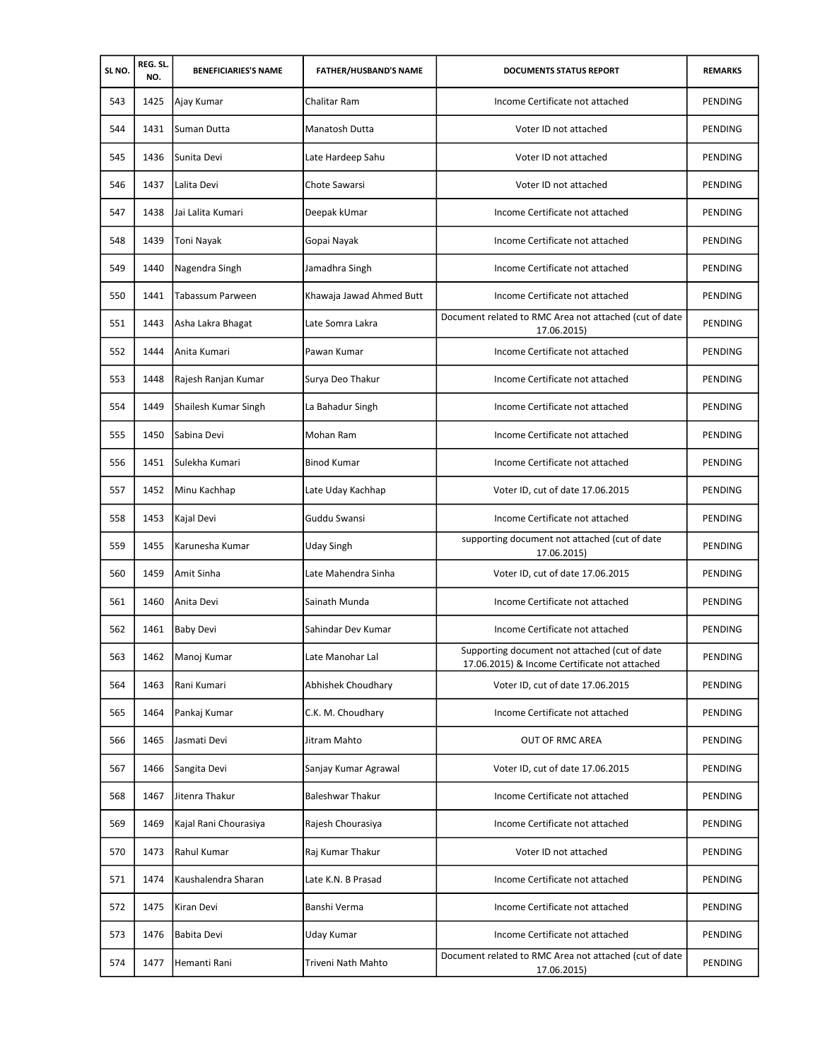| SLNO. | REG. SL.<br>NO. | <b>BENEFICIARIES'S NAME</b> | <b>FATHER/HUSBAND'S NAME</b> | <b>DOCUMENTS STATUS REPORT</b>                                                                 | <b>REMARKS</b> |
|-------|-----------------|-----------------------------|------------------------------|------------------------------------------------------------------------------------------------|----------------|
| 543   | 1425            | Ajay Kumar                  | Chalitar Ram                 | Income Certificate not attached                                                                | PENDING        |
| 544   | 1431            | Suman Dutta                 | Manatosh Dutta               | Voter ID not attached                                                                          | PENDING        |
| 545   | 1436            | Sunita Devi                 | Late Hardeep Sahu            | Voter ID not attached                                                                          | PENDING        |
| 546   | 1437            | Lalita Devi                 | Chote Sawarsi                | Voter ID not attached                                                                          | PENDING        |
| 547   | 1438            | Jai Lalita Kumari           | Deepak kUmar                 | Income Certificate not attached                                                                | PENDING        |
| 548   | 1439            | Toni Nayak                  | Gopai Nayak                  | Income Certificate not attached                                                                | PENDING        |
| 549   | 1440            | Nagendra Singh              | Jamadhra Singh               | Income Certificate not attached                                                                | PENDING        |
| 550   | 1441            | Tabassum Parween            | Khawaja Jawad Ahmed Butt     | Income Certificate not attached                                                                | PENDING        |
| 551   | 1443            | Asha Lakra Bhagat           | Late Somra Lakra             | Document related to RMC Area not attached (cut of date<br>17.06.2015)                          | PENDING        |
| 552   | 1444            | Anita Kumari                | Pawan Kumar                  | Income Certificate not attached                                                                | PENDING        |
| 553   | 1448            | Rajesh Ranjan Kumar         | Surya Deo Thakur             | Income Certificate not attached                                                                | PENDING        |
| 554   | 1449            | Shailesh Kumar Singh        | La Bahadur Singh             | Income Certificate not attached                                                                | PENDING        |
| 555   | 1450            | Sabina Devi                 | Mohan Ram                    | Income Certificate not attached                                                                | PENDING        |
| 556   | 1451            | Sulekha Kumari              | <b>Binod Kumar</b>           | Income Certificate not attached                                                                | PENDING        |
| 557   | 1452            | Minu Kachhap                | Late Uday Kachhap            | Voter ID, cut of date 17.06.2015                                                               | PENDING        |
| 558   | 1453            | Kajal Devi                  | Guddu Swansi                 | Income Certificate not attached                                                                | PENDING        |
| 559   | 1455            | Karunesha Kumar             | Uday Singh                   | supporting document not attached (cut of date<br>17.06.2015)                                   | PENDING        |
| 560   | 1459            | Amit Sinha                  | Late Mahendra Sinha          | Voter ID, cut of date 17.06.2015                                                               | PENDING        |
| 561   | 1460            | Anita Devi                  | Sainath Munda                | Income Certificate not attached                                                                | PENDING        |
| 562   | 1461            | <b>Baby Devi</b>            | Sahindar Dev Kumar           | Income Certificate not attached                                                                | PENDING        |
| 563   | 1462            | Manoj Kumar                 | Late Manohar Lal             | Supporting document not attached (cut of date<br>17.06.2015) & Income Certificate not attached | PENDING        |
| 564   | 1463            | Rani Kumari                 | Abhishek Choudhary           | Voter ID, cut of date 17.06.2015                                                               | <b>PENDING</b> |
| 565   | 1464            | Pankaj Kumar                | C.K. M. Choudhary            | Income Certificate not attached                                                                | PENDING        |
| 566   | 1465            | Jasmati Devi                | Jitram Mahto                 | OUT OF RMC AREA                                                                                | PENDING        |
| 567   | 1466            | Sangita Devi                | Sanjay Kumar Agrawal         | Voter ID, cut of date 17.06.2015                                                               | PENDING        |
| 568   | 1467            | Jitenra Thakur              | <b>Baleshwar Thakur</b>      | Income Certificate not attached                                                                | PENDING        |
| 569   | 1469            | Kajal Rani Chourasiya       | Rajesh Chourasiya            | Income Certificate not attached                                                                | PENDING        |
| 570   | 1473            | Rahul Kumar                 | Raj Kumar Thakur             | Voter ID not attached                                                                          | PENDING        |
| 571   | 1474            | Kaushalendra Sharan         | Late K.N. B Prasad           | Income Certificate not attached                                                                | PENDING        |
| 572   | 1475            | Kiran Devi                  | Banshi Verma                 | Income Certificate not attached                                                                | PENDING        |
| 573   | 1476            | Babita Devi                 | Uday Kumar                   | Income Certificate not attached                                                                | PENDING        |
| 574   | 1477            | Hemanti Rani                | Triveni Nath Mahto           | Document related to RMC Area not attached (cut of date<br>17.06.2015)                          | PENDING        |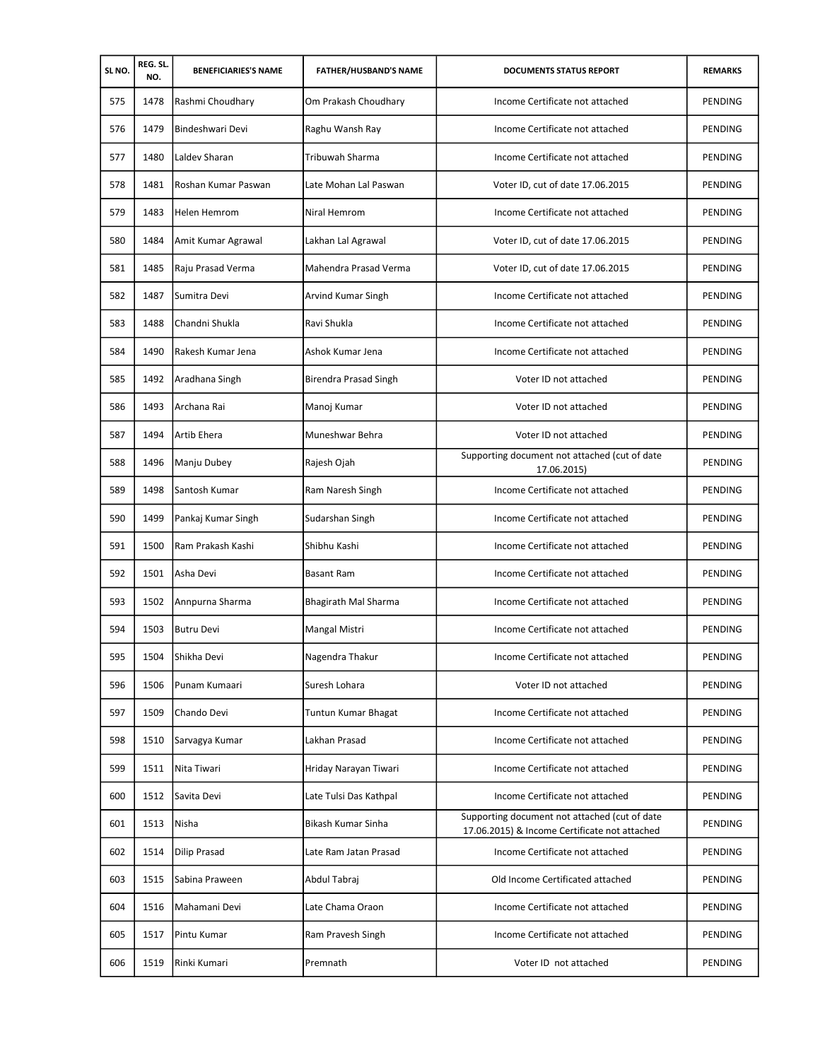| SLNO. | REG. SL.<br>NO. | <b>BENEFICIARIES'S NAME</b> | <b>FATHER/HUSBAND'S NAME</b> | <b>DOCUMENTS STATUS REPORT</b>                                                                 | <b>REMARKS</b> |
|-------|-----------------|-----------------------------|------------------------------|------------------------------------------------------------------------------------------------|----------------|
| 575   | 1478            | Rashmi Choudhary            | Om Prakash Choudhary         | Income Certificate not attached                                                                | PENDING        |
| 576   | 1479            | Bindeshwari Devi            | Raghu Wansh Ray              | Income Certificate not attached                                                                | PENDING        |
| 577   | 1480            | Laldev Sharan               | Tribuwah Sharma              | Income Certificate not attached                                                                | PENDING        |
| 578   | 1481            | Roshan Kumar Paswan         | Late Mohan Lal Paswan        | Voter ID, cut of date 17.06.2015                                                               | PENDING        |
| 579   | 1483            | <b>Helen Hemrom</b>         | Niral Hemrom                 | Income Certificate not attached                                                                | PENDING        |
| 580   | 1484            | Amit Kumar Agrawal          | Lakhan Lal Agrawal           | Voter ID, cut of date 17.06.2015                                                               | PENDING        |
| 581   | 1485            | Raju Prasad Verma           | Mahendra Prasad Verma        | Voter ID, cut of date 17.06.2015                                                               | PENDING        |
| 582   | 1487            | Sumitra Devi                | Arvind Kumar Singh           | Income Certificate not attached                                                                | PENDING        |
| 583   | 1488            | Chandni Shukla              | Ravi Shukla                  | Income Certificate not attached                                                                | PENDING        |
| 584   | 1490            | Rakesh Kumar Jena           | Ashok Kumar Jena             | Income Certificate not attached                                                                | PENDING        |
| 585   | 1492            | Aradhana Singh              | Birendra Prasad Singh        | Voter ID not attached                                                                          | PENDING        |
| 586   | 1493            | Archana Rai                 | Manoj Kumar                  | Voter ID not attached                                                                          | PENDING        |
| 587   | 1494            | Artib Ehera                 | Muneshwar Behra              | Voter ID not attached                                                                          | PENDING        |
| 588   | 1496            | Manju Dubey                 | Rajesh Ojah                  | Supporting document not attached (cut of date<br>17.06.2015)                                   | PENDING        |
| 589   | 1498            | Santosh Kumar               | Ram Naresh Singh             | Income Certificate not attached                                                                | PENDING        |
| 590   | 1499            | Pankaj Kumar Singh          | Sudarshan Singh              | Income Certificate not attached                                                                | PENDING        |
| 591   | 1500            | Ram Prakash Kashi           | Shibhu Kashi                 | Income Certificate not attached                                                                | PENDING        |
| 592   | 1501            | Asha Devi                   | <b>Basant Ram</b>            | Income Certificate not attached                                                                | PENDING        |
| 593   | 1502            | Annpurna Sharma             | Bhagirath Mal Sharma         | Income Certificate not attached                                                                | PENDING        |
| 594   | 1503            | <b>Butru Devi</b>           | Mangal Mistri                | Income Certificate not attached                                                                | PENDING        |
| 595   | 1504            | Shikha Devi                 | Nagendra Thakur              | Income Certificate not attached                                                                | PENDING        |
| 596   | 1506            | Punam Kumaari               | Suresh Lohara                | Voter ID not attached                                                                          | PENDING        |
| 597   | 1509            | Chando Devi                 | Tuntun Kumar Bhagat          | Income Certificate not attached                                                                | PENDING        |
| 598   | 1510            | Sarvagya Kumar              | Lakhan Prasad                | Income Certificate not attached                                                                | PENDING        |
| 599   | 1511            | Nita Tiwari                 | Hriday Narayan Tiwari        | Income Certificate not attached                                                                | PENDING        |
| 600   | 1512            | Savita Devi                 | Late Tulsi Das Kathpal       | Income Certificate not attached                                                                | PENDING        |
| 601   | 1513            | Nisha                       | Bikash Kumar Sinha           | Supporting document not attached (cut of date<br>17.06.2015) & Income Certificate not attached | PENDING        |
| 602   | 1514            | <b>Dilip Prasad</b>         | Late Ram Jatan Prasad        | Income Certificate not attached                                                                | PENDING        |
| 603   | 1515            | Sabina Praween              | Abdul Tabraj                 | Old Income Certificated attached                                                               | PENDING        |
| 604   | 1516            | Mahamani Devi               | Late Chama Oraon             | Income Certificate not attached                                                                | PENDING        |
| 605   | 1517            | Pintu Kumar                 | Ram Pravesh Singh            | Income Certificate not attached                                                                | PENDING        |
| 606   | 1519            | Rinki Kumari                | Premnath                     | Voter ID not attached                                                                          | PENDING        |